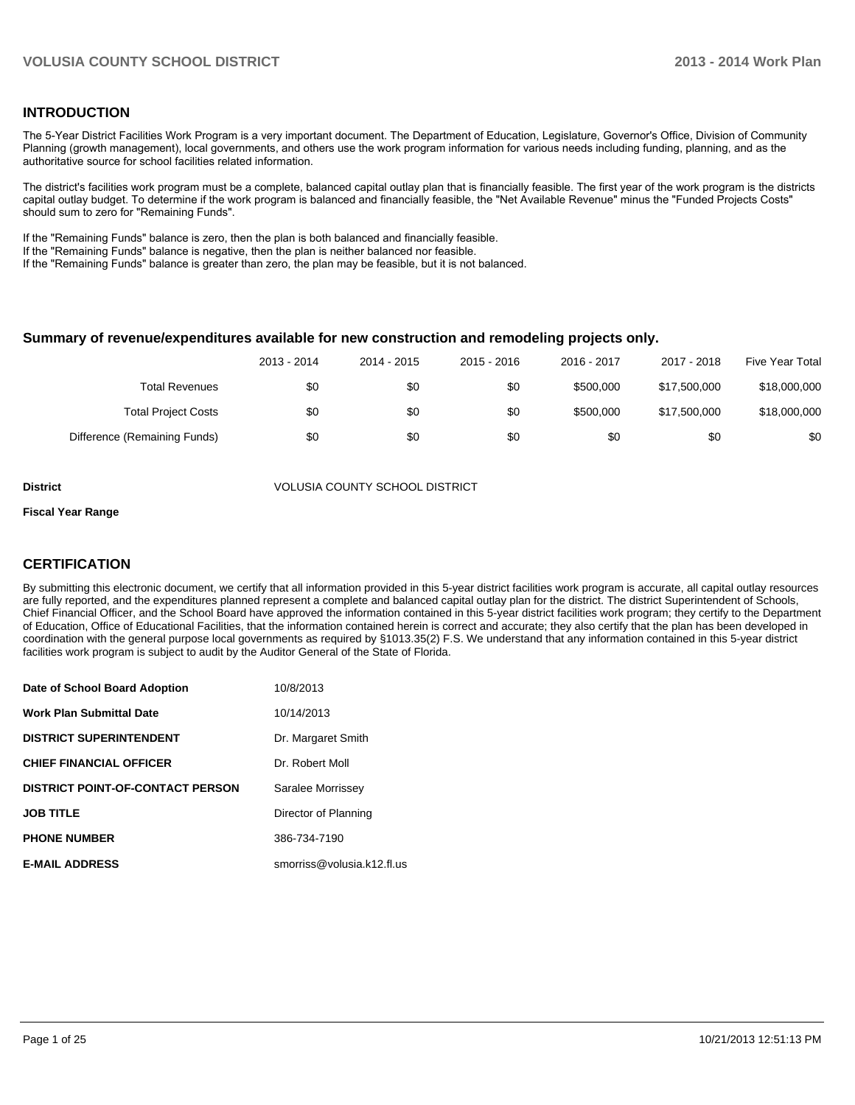#### **INTRODUCTION**

The 5-Year District Facilities Work Program is a very important document. The Department of Education, Legislature, Governor's Office, Division of Community Planning (growth management), local governments, and others use the work program information for various needs including funding, planning, and as the authoritative source for school facilities related information.

The district's facilities work program must be a complete, balanced capital outlay plan that is financially feasible. The first year of the work program is the districts capital outlay budget. To determine if the work program is balanced and financially feasible, the "Net Available Revenue" minus the "Funded Projects Costs" should sum to zero for "Remaining Funds".

If the "Remaining Funds" balance is zero, then the plan is both balanced and financially feasible.

If the "Remaining Funds" balance is negative, then the plan is neither balanced nor feasible.

If the "Remaining Funds" balance is greater than zero, the plan may be feasible, but it is not balanced.

#### **Summary of revenue/expenditures available for new construction and remodeling projects only.**

|                              | 2013 - 2014 | 2014 - 2015 | $2015 - 2016$ | 2016 - 2017 | 2017 - 2018  | Five Year Total |
|------------------------------|-------------|-------------|---------------|-------------|--------------|-----------------|
| <b>Total Revenues</b>        | \$0         | \$0         | \$0           | \$500,000   | \$17,500,000 | \$18,000,000    |
| <b>Total Project Costs</b>   | \$0         | \$0         | \$0           | \$500,000   | \$17,500,000 | \$18,000,000    |
| Difference (Remaining Funds) | \$0         | \$0         | \$0           | \$0         | \$0          | \$0             |

**District** VOLUSIA COUNTY SCHOOL DISTRICT

#### **Fiscal Year Range**

#### **CERTIFICATION**

By submitting this electronic document, we certify that all information provided in this 5-year district facilities work program is accurate, all capital outlay resources are fully reported, and the expenditures planned represent a complete and balanced capital outlay plan for the district. The district Superintendent of Schools, Chief Financial Officer, and the School Board have approved the information contained in this 5-year district facilities work program; they certify to the Department of Education, Office of Educational Facilities, that the information contained herein is correct and accurate; they also certify that the plan has been developed in coordination with the general purpose local governments as required by §1013.35(2) F.S. We understand that any information contained in this 5-year district facilities work program is subject to audit by the Auditor General of the State of Florida.

| Date of School Board Adoption           | 10/8/2013                  |
|-----------------------------------------|----------------------------|
| <b>Work Plan Submittal Date</b>         | 10/14/2013                 |
| <b>DISTRICT SUPERINTENDENT</b>          | Dr. Margaret Smith         |
| <b>CHIEF FINANCIAL OFFICER</b>          | Dr. Robert Moll            |
| <b>DISTRICT POINT-OF-CONTACT PERSON</b> | Saralee Morrissey          |
| <b>JOB TITLE</b>                        | Director of Planning       |
| <b>PHONE NUMBER</b>                     | 386-734-7190               |
| <b>E-MAIL ADDRESS</b>                   | smorriss@volusia.k12.fl.us |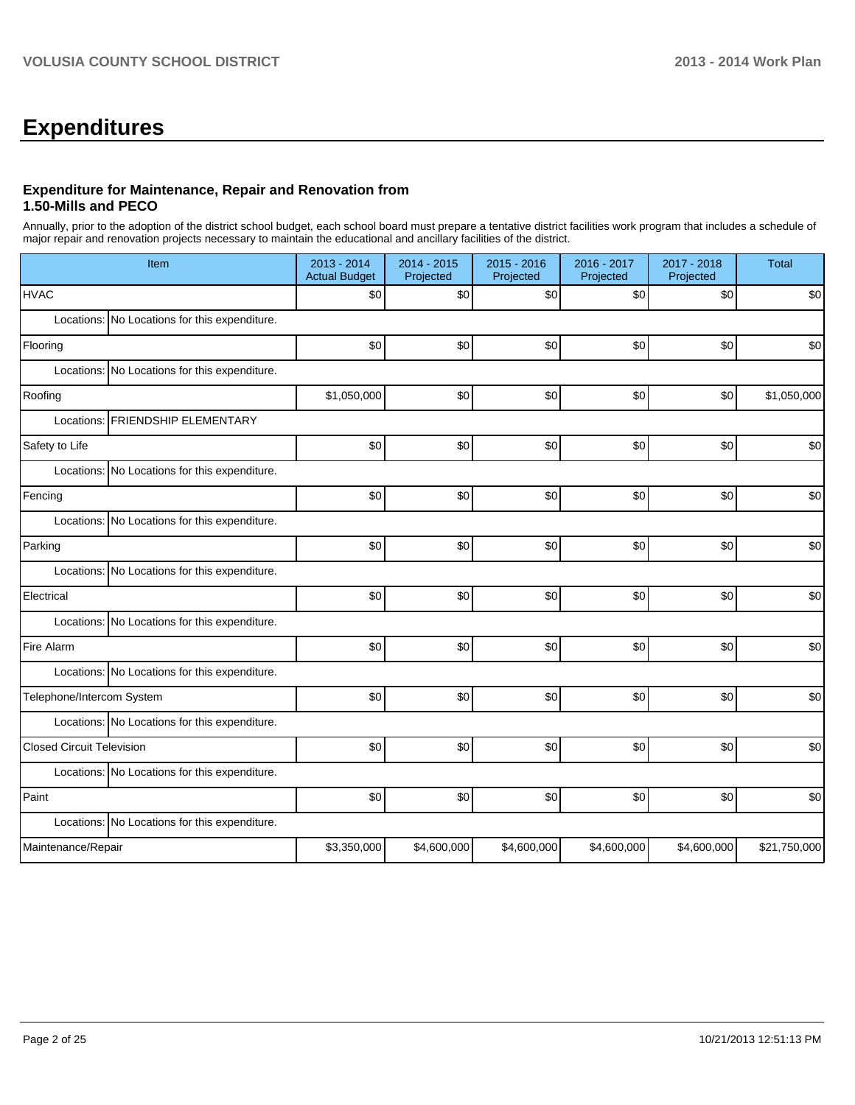## **Expenditures**

#### **Expenditure for Maintenance, Repair and Renovation from 1.50-Mills and PECO**

Annually, prior to the adoption of the district school budget, each school board must prepare a tentative district facilities work program that includes a schedule of major repair and renovation projects necessary to maintain the educational and ancillary facilities of the district.

| Item                                          | 2013 - 2014<br><b>Actual Budget</b> | 2014 - 2015<br>Projected | 2015 - 2016<br>Projected | 2016 - 2017<br>Projected | 2017 - 2018<br>Projected | <b>Total</b> |  |  |  |  |
|-----------------------------------------------|-------------------------------------|--------------------------|--------------------------|--------------------------|--------------------------|--------------|--|--|--|--|
| <b>HVAC</b>                                   | \$0                                 | \$0                      | \$0                      | \$0                      | \$0                      | \$0          |  |  |  |  |
| Locations: No Locations for this expenditure. |                                     |                          |                          |                          |                          |              |  |  |  |  |
| Flooring                                      | \$0                                 | \$0                      | \$0                      | \$0                      | \$0                      | \$0          |  |  |  |  |
| Locations: No Locations for this expenditure. |                                     |                          |                          |                          |                          |              |  |  |  |  |
| Roofing                                       | \$1,050,000                         | \$0                      | \$0                      | \$0                      | \$0                      | \$1,050,000  |  |  |  |  |
| <b>FRIENDSHIP ELEMENTARY</b><br>Locations:    |                                     |                          |                          |                          |                          |              |  |  |  |  |
| Safety to Life                                | \$0                                 | \$0                      | \$0                      | \$0                      | \$0                      | \$0          |  |  |  |  |
| Locations: No Locations for this expenditure. |                                     |                          |                          |                          |                          |              |  |  |  |  |
| Fencing                                       | \$0                                 | \$0                      | \$0                      | \$0                      | \$0                      | \$0          |  |  |  |  |
| Locations: No Locations for this expenditure. |                                     |                          |                          |                          |                          |              |  |  |  |  |
| Parking                                       | \$0                                 | \$0                      | \$0                      | \$0                      | \$0                      | \$0          |  |  |  |  |
| Locations: No Locations for this expenditure. |                                     |                          |                          |                          |                          |              |  |  |  |  |
| Electrical                                    | \$0                                 | \$0                      | 30                       | \$0                      | \$0                      | \$0          |  |  |  |  |
| Locations: No Locations for this expenditure. |                                     |                          |                          |                          |                          |              |  |  |  |  |
| Fire Alarm                                    | \$0                                 | \$0                      | \$0                      | \$0                      | \$0                      | \$0          |  |  |  |  |
| Locations: No Locations for this expenditure. |                                     |                          |                          |                          |                          |              |  |  |  |  |
| Telephone/Intercom System                     | \$0                                 | \$0                      | \$0                      | \$0                      | \$0                      | \$0          |  |  |  |  |
| Locations: No Locations for this expenditure. |                                     |                          |                          |                          |                          |              |  |  |  |  |
| <b>Closed Circuit Television</b>              | \$0                                 | \$0                      | \$0                      | \$0                      | \$0                      | \$0          |  |  |  |  |
| Locations: No Locations for this expenditure. |                                     |                          |                          |                          |                          |              |  |  |  |  |
| Paint                                         | \$0                                 | \$0                      | \$0                      | \$0                      | \$0                      | \$0          |  |  |  |  |
| Locations: No Locations for this expenditure. |                                     |                          |                          |                          |                          |              |  |  |  |  |
| Maintenance/Repair                            | \$3,350,000                         | \$4,600,000              | \$4,600,000              | \$4,600,000              | \$4,600,000              | \$21,750,000 |  |  |  |  |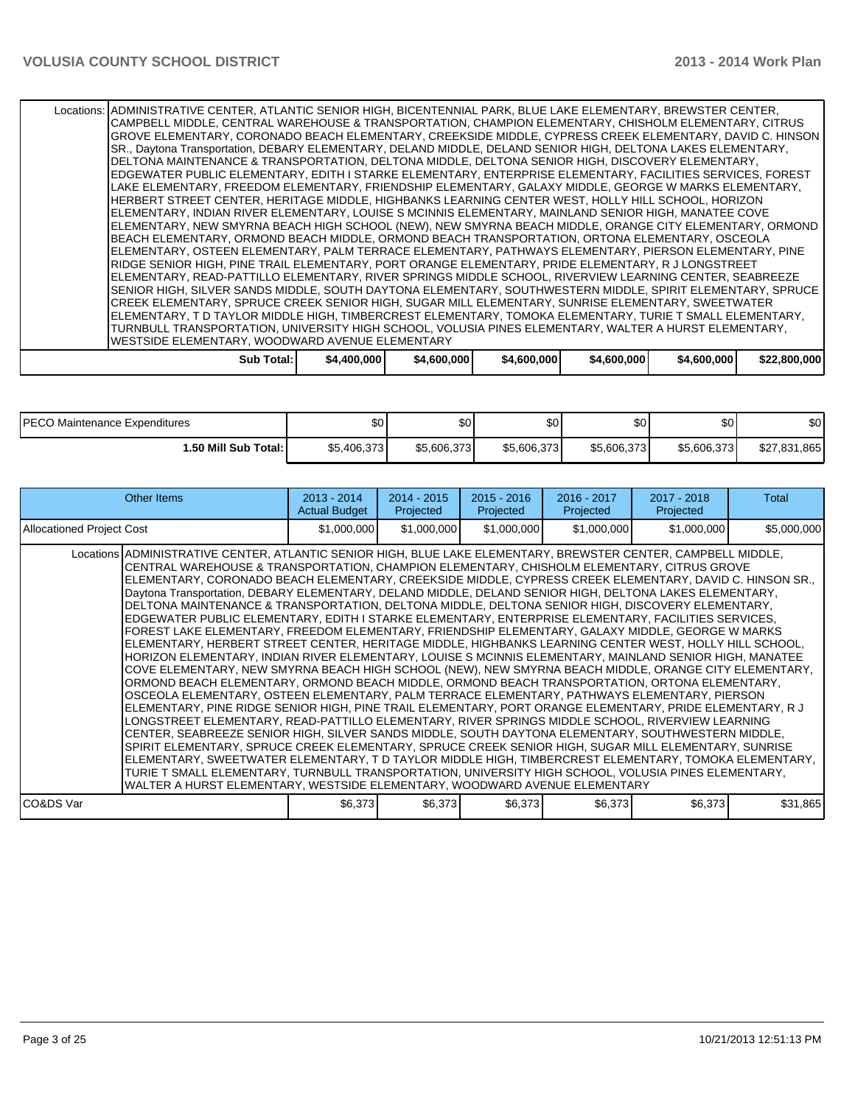Locations: ADMINISTRATIVE CENTER, ATLANTIC SENIOR HIGH, BICENTENNIAL PARK, BLUE LAKE ELEMENTARY, BREWSTER CENTER, CAMPBELL MIDDLE, CENTRAL WAREHOUSE & TRANSPORTATION, CHAMPION ELEMENTARY, CHISHOLM ELEMENTARY, CITRUS GROVE ELEMENTARY, CORONADO BEACH ELEMENTARY, CREEKSIDE MIDDLE, CYPRESS CREEK ELEMENTARY, DAVID C. HINSON SR., Daytona Transportation, DEBARY ELEMENTARY, DELAND MIDDLE, DELAND SENIOR HIGH, DELTONA LAKES ELEMENTARY, DELTONA MAINTENANCE & TRANSPORTATION, DELTONA MIDDLE, DELTONA SENIOR HIGH, DISCOVERY ELEMENTARY, EDGEWATER PUBLIC ELEMENTARY, EDITH I STARKE ELEMENTARY, ENTERPRISE ELEMENTARY, FACILITIES SERVICES, FOREST LAKE ELEMENTARY, FREEDOM ELEMENTARY, FRIENDSHIP ELEMENTARY, GALAXY MIDDLE, GEORGE W MARKS ELEMENTARY, HERBERT STREET CENTER, HERITAGE MIDDLE, HIGHBANKS LEARNING CENTER WEST, HOLLY HILL SCHOOL, HORIZON ELEMENTARY, INDIAN RIVER ELEMENTARY, LOUISE S MCINNIS ELEMENTARY, MAINLAND SENIOR HIGH, MANATEE COVE ELEMENTARY, NEW SMYRNA BEACH HIGH SCHOOL (NEW), NEW SMYRNA BEACH MIDDLE, ORANGE CITY ELEMENTARY, ORMOND BEACH ELEMENTARY, ORMOND BEACH MIDDLE, ORMOND BEACH TRANSPORTATION, ORTONA ELEMENTARY, OSCEOLA ELEMENTARY, OSTEEN ELEMENTARY, PALM TERRACE ELEMENTARY, PATHWAYS ELEMENTARY, PIERSON ELEMENTARY, PINE RIDGE SENIOR HIGH, PINE TRAIL ELEMENTARY, PORT ORANGE ELEMENTARY, PRIDE ELEMENTARY, R J LONGSTREET ELEMENTARY, READ-PATTILLO ELEMENTARY, RIVER SPRINGS MIDDLE SCHOOL, RIVERVIEW LEARNING CENTER, SEABREEZE SENIOR HIGH, SILVER SANDS MIDDLE, SOUTH DAYTONA ELEMENTARY, SOUTHWESTERN MIDDLE, SPIRIT ELEMENTARY, SPRUCE CREEK ELEMENTARY, SPRUCE CREEK SENIOR HIGH, SUGAR MILL ELEMENTARY, SUNRISE ELEMENTARY, SWEETWATER ELEMENTARY, T D TAYLOR MIDDLE HIGH, TIMBERCREST ELEMENTARY, TOMOKA ELEMENTARY, TURIE T SMALL ELEMENTARY, TURNBULL TRANSPORTATION, UNIVERSITY HIGH SCHOOL, VOLUSIA PINES ELEMENTARY, WALTER A HURST ELEMENTARY, WESTSIDE ELEMENTARY, WOODWARD AVENUE ELEMENTARY **Sub Total: \$4,400,000 \$4,600,000 \$4,600,000 \$4,600,000 \$4,600,000 \$22,800,000**

| <b>IPECO Maintenance Expenditures</b> | \$0 <sub>1</sub> | ሮሰ<br>Φ∪    | ሶስ<br>ას    | <b>SO</b>   | \$0         | \$0               |
|---------------------------------------|------------------|-------------|-------------|-------------|-------------|-------------------|
| 1.50 Mill Sub Total: I                | \$5,406,373      | \$5,606,373 | \$5,606,373 | \$5,606,373 | \$5,606,373 | \$27,831<br>1,865 |

| Other Items                                                                                                                                                                                                                                                                                                                                                                                                                                                                                                                                                                                                                                                                                                                                                                                                                                                                                                                                                                                                                                                                                                                                                                                                                                                                                                                                                                                                                                                                                                                                                                                                                                                                                                                                                                                                                                                                                                                                                                                                   | $2013 - 2014$<br><b>Actual Budget</b> | $2014 - 2015$<br>Projected | $2015 - 2016$<br>Projected | 2016 - 2017<br>Projected | $2017 - 2018$<br>Projected | Total       |
|---------------------------------------------------------------------------------------------------------------------------------------------------------------------------------------------------------------------------------------------------------------------------------------------------------------------------------------------------------------------------------------------------------------------------------------------------------------------------------------------------------------------------------------------------------------------------------------------------------------------------------------------------------------------------------------------------------------------------------------------------------------------------------------------------------------------------------------------------------------------------------------------------------------------------------------------------------------------------------------------------------------------------------------------------------------------------------------------------------------------------------------------------------------------------------------------------------------------------------------------------------------------------------------------------------------------------------------------------------------------------------------------------------------------------------------------------------------------------------------------------------------------------------------------------------------------------------------------------------------------------------------------------------------------------------------------------------------------------------------------------------------------------------------------------------------------------------------------------------------------------------------------------------------------------------------------------------------------------------------------------------------|---------------------------------------|----------------------------|----------------------------|--------------------------|----------------------------|-------------|
| <b>Allocationed Project Cost</b>                                                                                                                                                                                                                                                                                                                                                                                                                                                                                                                                                                                                                                                                                                                                                                                                                                                                                                                                                                                                                                                                                                                                                                                                                                                                                                                                                                                                                                                                                                                                                                                                                                                                                                                                                                                                                                                                                                                                                                              | \$1,000,000                           | \$1,000,000                | \$1,000,000                | \$1,000,000              | \$1,000,000                | \$5,000,000 |
| Locations ADMINISTRATIVE CENTER, ATLANTIC SENIOR HIGH, BLUE LAKE ELEMENTARY, BREWSTER CENTER, CAMPBELL MIDDLE,<br>CENTRAL WAREHOUSE & TRANSPORTATION, CHAMPION ELEMENTARY, CHISHOLM ELEMENTARY, CITRUS GROVE<br>ELEMENTARY, CORONADO BEACH ELEMENTARY, CREEKSIDE MIDDLE, CYPRESS CREEK ELEMENTARY, DAVID C. HINSON SR.,<br>Daytona Transportation, DEBARY ELEMENTARY, DELAND MIDDLE, DELAND SENIOR HIGH, DELTONA LAKES ELEMENTARY,<br>DELTONA MAINTENANCE & TRANSPORTATION, DELTONA MIDDLE, DELTONA SENIOR HIGH, DISCOVERY ELEMENTARY,<br>EDGEWATER PUBLIC ELEMENTARY, EDITH I STARKE ELEMENTARY, ENTERPRISE ELEMENTARY, FACILITIES SERVICES,<br>FOREST LAKE ELEMENTARY, FREEDOM ELEMENTARY, FRIENDSHIP ELEMENTARY, GALAXY MIDDLE, GEORGE W MARKS<br>ELEMENTARY, HERBERT STREET CENTER, HERITAGE MIDDLE, HIGHBANKS LEARNING CENTER WEST, HOLLY HILL SCHOOL,<br>HORIZON ELEMENTARY, INDIAN RIVER ELEMENTARY, LOUISE S MCINNIS ELEMENTARY, MAINLAND SENIOR HIGH, MANATEE<br>COVE ELEMENTARY, NEW SMYRNA BEACH HIGH SCHOOL (NEW), NEW SMYRNA BEACH MIDDLE, ORANGE CITY ELEMENTARY,<br>ORMOND BEACH ELEMENTARY, ORMOND BEACH MIDDLE, ORMOND BEACH TRANSPORTATION, ORTONA ELEMENTARY,<br>OSCEOLA ELEMENTARY, OSTEEN ELEMENTARY, PALM TERRACE ELEMENTARY, PATHWAYS ELEMENTARY, PIERSON<br>ELEMENTARY, PINE RIDGE SENIOR HIGH, PINE TRAIL ELEMENTARY, PORT ORANGE ELEMENTARY, PRIDE ELEMENTARY, R J<br>LONGSTREET ELEMENTARY, READ-PATTILLO ELEMENTARY, RIVER SPRINGS MIDDLE SCHOOL, RIVERVIEW LEARNING<br>CENTER, SEABREEZE SENIOR HIGH, SILVER SANDS MIDDLE, SOUTH DAYTONA ELEMENTARY, SOUTHWESTERN MIDDLE,<br>SPIRIT ELEMENTARY, SPRUCE CREEK ELEMENTARY, SPRUCE CREEK SENIOR HIGH, SUGAR MILL ELEMENTARY, SUNRISE<br>ELEMENTARY, SWEETWATER ELEMENTARY, T D TAYLOR MIDDLE HIGH, TIMBERCREST ELEMENTARY, TOMOKA ELEMENTARY,<br>TURIE T SMALL ELEMENTARY, TURNBULL TRANSPORTATION, UNIVERSITY HIGH SCHOOL, VOLUSIA PINES ELEMENTARY,<br>WALTER A HURST ELEMENTARY, WESTSIDE ELEMENTARY, WOODWARD AVENUE ELEMENTARY |                                       |                            |                            |                          |                            |             |
| lCO&DS Var                                                                                                                                                                                                                                                                                                                                                                                                                                                                                                                                                                                                                                                                                                                                                                                                                                                                                                                                                                                                                                                                                                                                                                                                                                                                                                                                                                                                                                                                                                                                                                                                                                                                                                                                                                                                                                                                                                                                                                                                    | \$6,373                               | \$6,373                    | \$6,373                    | \$6,373                  | \$6,373                    | \$31,865    |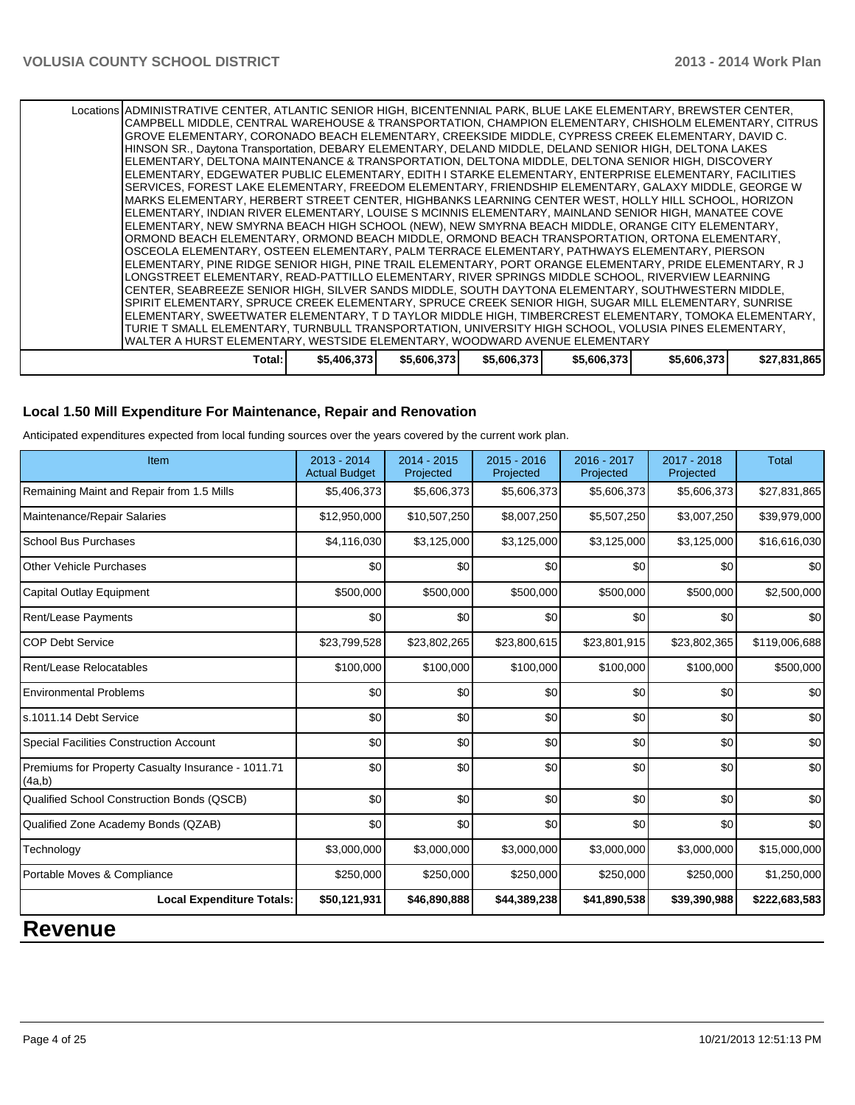Locations ADMINISTRATIVE CENTER, ATLANTIC SENIOR HIGH, BICENTENNIAL PARK, BLUE LAKE ELEMENTARY, BREWSTER CENTER, CAMPBELL MIDDLE, CENTRAL WAREHOUSE & TRANSPORTATION, CHAMPION ELEMENTARY, CHISHOLM ELEMENTARY, CITRUS GROVE ELEMENTARY, CORONADO BEACH ELEMENTARY, CREEKSIDE MIDDLE, CYPRESS CREEK ELEMENTARY, DAVID C. HINSON SR., Daytona Transportation, DEBARY ELEMENTARY, DELAND MIDDLE, DELAND SENIOR HIGH, DELTONA LAKES ELEMENTARY, DELTONA MAINTENANCE & TRANSPORTATION, DELTONA MIDDLE, DELTONA SENIOR HIGH, DISCOVERY ELEMENTARY, EDGEWATER PUBLIC ELEMENTARY, EDITH I STARKE ELEMENTARY, ENTERPRISE ELEMENTARY, FACILITIES SERVICES, FOREST LAKE ELEMENTARY, FREEDOM ELEMENTARY, FRIENDSHIP ELEMENTARY, GALAXY MIDDLE, GEORGE W MARKS ELEMENTARY, HERBERT STREET CENTER, HIGHBANKS LEARNING CENTER WEST, HOLLY HILL SCHOOL, HORIZON ELEMENTARY, INDIAN RIVER ELEMENTARY, LOUISE S MCINNIS ELEMENTARY, MAINLAND SENIOR HIGH, MANATEE COVE ELEMENTARY, NEW SMYRNA BEACH HIGH SCHOOL (NEW), NEW SMYRNA BEACH MIDDLE, ORANGE CITY ELEMENTARY, ORMOND BEACH ELEMENTARY, ORMOND BEACH MIDDLE, ORMOND BEACH TRANSPORTATION, ORTONA ELEMENTARY, OSCEOLA ELEMENTARY, OSTEEN ELEMENTARY, PALM TERRACE ELEMENTARY, PATHWAYS ELEMENTARY, PIERSON ELEMENTARY, PINE RIDGE SENIOR HIGH, PINE TRAIL ELEMENTARY, PORT ORANGE ELEMENTARY, PRIDE ELEMENTARY, R J LONGSTREET ELEMENTARY, READ-PATTILLO ELEMENTARY, RIVER SPRINGS MIDDLE SCHOOL, RIVERVIEW LEARNING CENTER, SEABREEZE SENIOR HIGH, SILVER SANDS MIDDLE, SOUTH DAYTONA ELEMENTARY, SOUTHWESTERN MIDDLE, SPIRIT ELEMENTARY, SPRUCE CREEK ELEMENTARY, SPRUCE CREEK SENIOR HIGH, SUGAR MILL ELEMENTARY, SUNRISE ELEMENTARY, SWEETWATER ELEMENTARY, T D TAYLOR MIDDLE HIGH, TIMBERCREST ELEMENTARY, TOMOKA ELEMENTARY, TURIE T SMALL ELEMENTARY, TURNBULL TRANSPORTATION, UNIVERSITY HIGH SCHOOL, VOLUSIA PINES ELEMENTARY, WALTER A HURST ELEMENTARY, WESTSIDE ELEMENTARY, WOODWARD AVENUE ELEMENTARY **Total: \$5,406,373 \$5,606,373 \$5,606,373 \$5,606,373 \$5,606,373 \$27,831,865**

#### **Local 1.50 Mill Expenditure For Maintenance, Repair and Renovation**

Anticipated expenditures expected from local funding sources over the years covered by the current work plan.

| Item                                                         | $2013 - 2014$<br><b>Actual Budget</b> | $2014 - 2015$<br>Projected | $2015 - 2016$<br>Projected | 2016 - 2017<br>Projected | 2017 - 2018<br>Projected | <b>Total</b>  |
|--------------------------------------------------------------|---------------------------------------|----------------------------|----------------------------|--------------------------|--------------------------|---------------|
| Remaining Maint and Repair from 1.5 Mills                    | \$5,406,373                           | \$5,606,373                | \$5,606,373                | \$5,606,373              | \$5,606,373              | \$27,831,865  |
| Maintenance/Repair Salaries                                  | \$12,950,000                          | \$10,507,250               | \$8,007,250                | \$5,507,250              | \$3,007,250              | \$39,979,000  |
| <b>School Bus Purchases</b>                                  | \$4,116,030                           | \$3,125,000                | \$3,125,000                | \$3,125,000              | \$3,125,000              | \$16,616,030  |
| <b>Other Vehicle Purchases</b>                               | \$0                                   | \$0                        | \$0                        | \$0                      | \$0                      | \$0           |
| <b>Capital Outlay Equipment</b>                              | \$500,000                             | \$500,000                  | \$500,000                  | \$500,000                | \$500,000                | \$2,500,000   |
| Rent/Lease Payments                                          | \$0                                   | \$0                        | \$0                        | \$0                      | \$0                      | \$0           |
| <b>COP Debt Service</b>                                      | \$23,799,528                          | \$23,802,265               | \$23,800,615               | \$23,801,915             | \$23,802,365             | \$119,006,688 |
| Rent/Lease Relocatables                                      | \$100,000                             | \$100,000                  | \$100,000                  | \$100,000                | \$100,000                | \$500,000     |
| <b>Environmental Problems</b>                                | \$0                                   | \$0                        | \$0                        | \$0                      | \$0                      | \$0           |
| ls.1011.14 Debt Service                                      | \$0                                   | \$0                        | \$0                        | \$0                      | \$0                      | \$0           |
| <b>Special Facilities Construction Account</b>               | \$0                                   | \$0                        | \$0                        | \$0                      | \$0                      | \$0           |
| Premiums for Property Casualty Insurance - 1011.71<br>(4a,b) | \$0                                   | \$0                        | \$0                        | \$0                      | \$0                      | \$0           |
| Qualified School Construction Bonds (QSCB)                   | $\Omega$                              | \$0                        | \$0                        | \$0                      | \$0                      | \$0           |
| Qualified Zone Academy Bonds (QZAB)                          | \$0                                   | \$0                        | \$0                        | \$0                      | \$0                      | \$0           |
| Technology                                                   | \$3,000,000                           | \$3,000,000                | \$3,000,000                | \$3,000,000              | \$3,000,000              | \$15,000,000  |
| Portable Moves & Compliance                                  | \$250,000                             | \$250,000                  | \$250,000                  | \$250,000                | \$250,000                | \$1,250,000   |
| <b>Local Expenditure Totals:</b>                             | \$50,121,931                          | \$46,890,888               | \$44,389,238               | \$41,890,538             | \$39,390,988             | \$222,683,583 |

## **Revenue**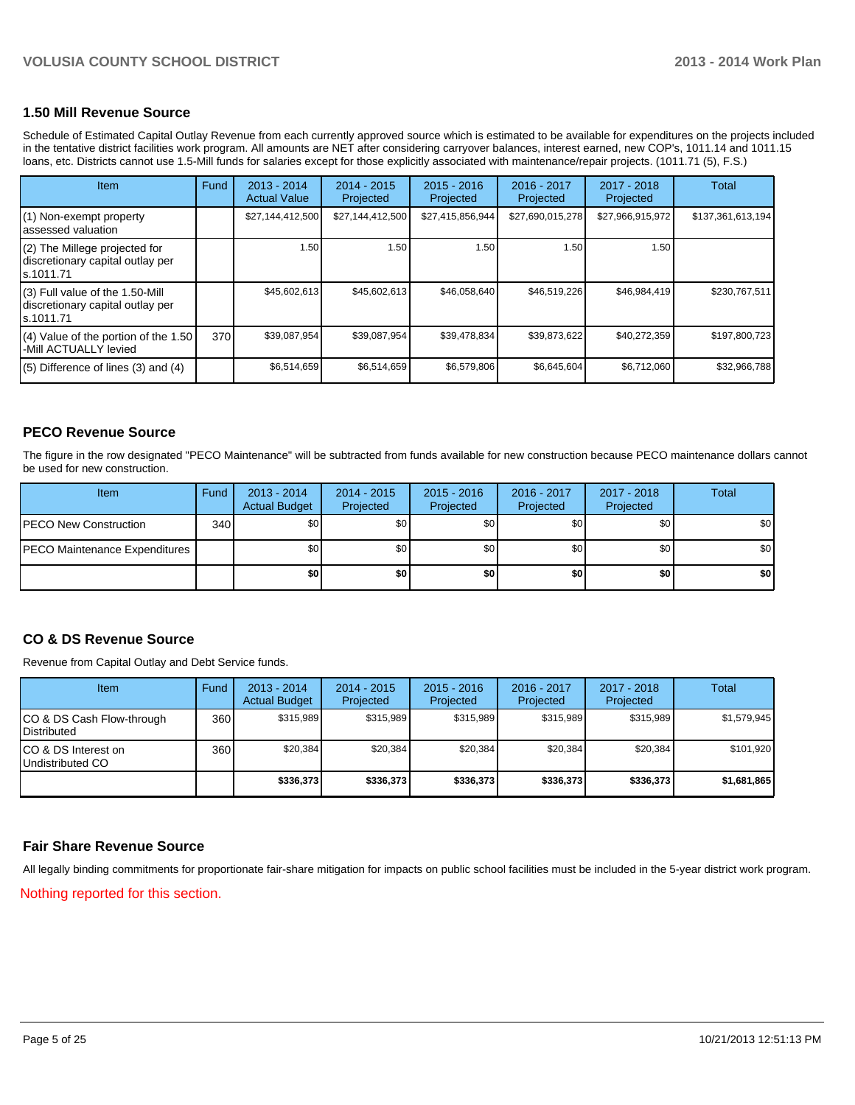#### **1.50 Mill Revenue Source**

Schedule of Estimated Capital Outlay Revenue from each currently approved source which is estimated to be available for expenditures on the projects included in the tentative district facilities work program. All amounts are NET after considering carryover balances, interest earned, new COP's, 1011.14 and 1011.15 loans, etc. Districts cannot use 1.5-Mill funds for salaries except for those explicitly associated with maintenance/repair projects. (1011.71 (5), F.S.)

| <b>Item</b>                                                                       | Fund | $2013 - 2014$<br><b>Actual Value</b> | $2014 - 2015$<br>Projected | $2015 - 2016$<br>Projected | 2016 - 2017<br>Projected | $2017 - 2018$<br>Projected | Total             |
|-----------------------------------------------------------------------------------|------|--------------------------------------|----------------------------|----------------------------|--------------------------|----------------------------|-------------------|
| (1) Non-exempt property<br>assessed valuation                                     |      | \$27,144,412,500                     | \$27,144,412,500           | \$27,415,856,944           | \$27,690,015,278         | \$27,966,915,972           | \$137,361,613,194 |
| (2) The Millege projected for<br>discretionary capital outlay per<br>ls.1011.71   |      | 1.50                                 | 1.50                       | 1.50                       | 1.50                     | 1.50                       |                   |
| (3) Full value of the 1.50-Mill<br>discretionary capital outlay per<br>ls.1011.71 |      | \$45,602,613                         | \$45,602,613               | \$46,058,640               | \$46,519,226             | \$46,984,419               | \$230,767,511     |
| $(4)$ Value of the portion of the 1.50<br>-Mill ACTUALLY levied                   | 370  | \$39,087,954                         | \$39,087,954               | \$39,478,834               | \$39,873,622             | \$40,272,359               | \$197,800,723     |
| $(5)$ Difference of lines (3) and (4)                                             |      | \$6,514,659                          | \$6,514,659                | \$6,579,806                | \$6,645,604              | \$6,712,060                | \$32,966,788      |

#### **PECO Revenue Source**

The figure in the row designated "PECO Maintenance" will be subtracted from funds available for new construction because PECO maintenance dollars cannot be used for new construction.

| Item                                  | Fund | $2013 - 2014$<br><b>Actual Budget</b> | $2014 - 2015$<br>Projected | $2015 - 2016$<br>Projected | 2016 - 2017<br>Projected | 2017 - 2018<br>Projected | Total |
|---------------------------------------|------|---------------------------------------|----------------------------|----------------------------|--------------------------|--------------------------|-------|
| <b>PECO New Construction</b>          | 340  | \$0 <sub>1</sub>                      | \$0                        | \$0 <sub>1</sub>           | \$0 <sub>0</sub>         | \$0                      | \$0   |
| <b>IPECO Maintenance Expenditures</b> |      | <b>\$0</b>                            | \$0                        | \$0 <sub>1</sub>           | \$0                      | \$0                      | \$0   |
|                                       |      | \$O I                                 | \$0                        | \$0 <sub>1</sub>           | \$0                      | \$0                      | \$0   |

#### **CO & DS Revenue Source**

Revenue from Capital Outlay and Debt Service funds.

| Item                                            | Fund | $2013 - 2014$<br><b>Actual Budget</b> | $2014 - 2015$<br>Projected | $2015 - 2016$<br>Projected | $2016 - 2017$<br>Projected | $2017 - 2018$<br>Projected | Total       |
|-------------------------------------------------|------|---------------------------------------|----------------------------|----------------------------|----------------------------|----------------------------|-------------|
| CO & DS Cash Flow-through<br><b>Distributed</b> | 360  | \$315.989                             | \$315.989                  | \$315.989                  | \$315.989                  | \$315.989                  | \$1,579,945 |
| CO & DS Interest on<br>Undistributed CO         | 360  | \$20,384                              | \$20,384                   | \$20,384                   | \$20,384                   | \$20,384                   | \$101,920   |
|                                                 |      | \$336,373                             | \$336,373                  | \$336,373                  | \$336,373                  | \$336,373                  | \$1,681,865 |

#### **Fair Share Revenue Source**

All legally binding commitments for proportionate fair-share mitigation for impacts on public school facilities must be included in the 5-year district work program.

Nothing reported for this section.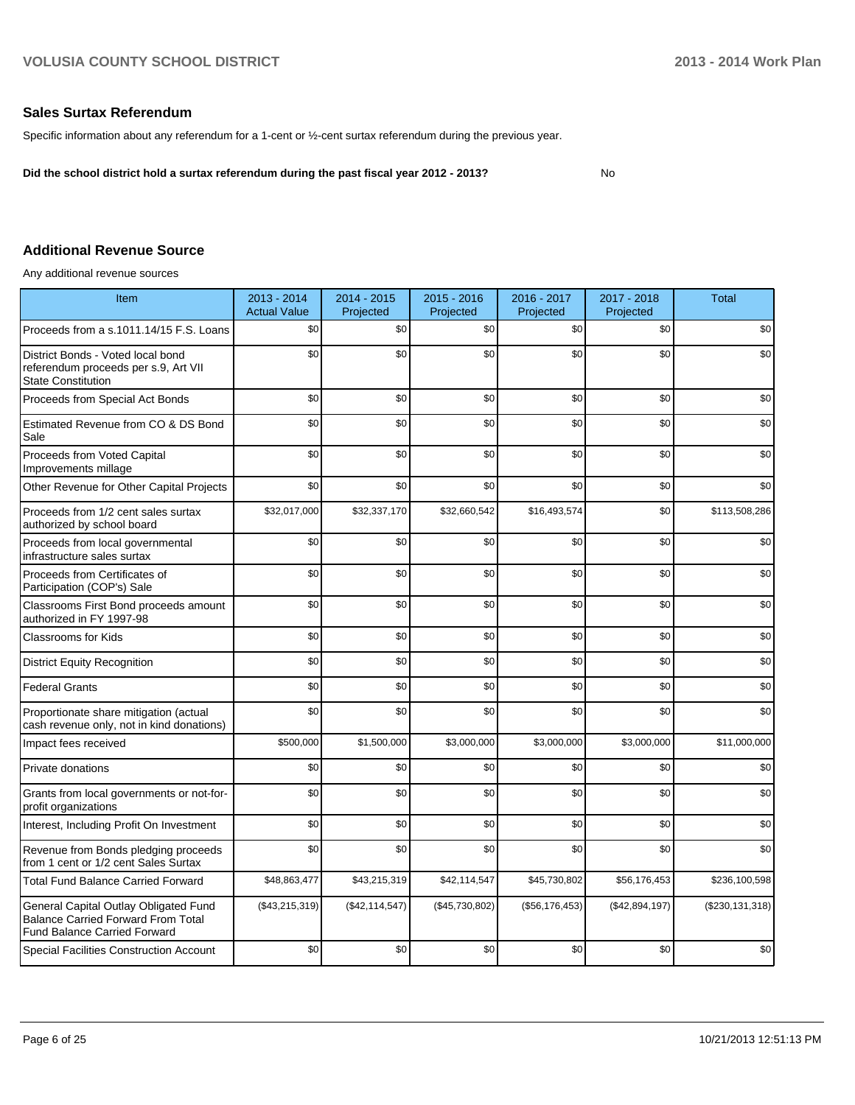#### **Sales Surtax Referendum**

Specific information about any referendum for a 1-cent or ½-cent surtax referendum during the previous year.

**Did the school district hold a surtax referendum during the past fiscal year 2012 - 2013?**

#### No

#### **Additional Revenue Source**

Any additional revenue sources

| Item                                                                                                                      | 2013 - 2014<br><b>Actual Value</b> | 2014 - 2015<br>Projected | 2015 - 2016<br>Projected | 2016 - 2017<br>Projected | 2017 - 2018<br>Projected | <b>Total</b>      |
|---------------------------------------------------------------------------------------------------------------------------|------------------------------------|--------------------------|--------------------------|--------------------------|--------------------------|-------------------|
| Proceeds from a s.1011.14/15 F.S. Loans                                                                                   | \$0                                | \$0                      | \$0                      | \$0                      | \$0                      | \$0               |
| District Bonds - Voted local bond<br>referendum proceeds per s.9, Art VII<br><b>State Constitution</b>                    | \$0                                | \$0                      | \$0                      | \$0                      | \$0                      | \$0               |
| Proceeds from Special Act Bonds                                                                                           | \$0                                | \$0                      | \$0                      | \$0                      | \$0                      | \$0               |
| Estimated Revenue from CO & DS Bond<br>Sale                                                                               | \$0                                | \$0                      | \$0                      | \$0                      | \$0                      | \$0               |
| Proceeds from Voted Capital<br>Improvements millage                                                                       | \$0                                | \$0                      | \$0                      | \$0                      | \$0                      | \$0               |
| Other Revenue for Other Capital Projects                                                                                  | \$0                                | \$0                      | \$0                      | \$0                      | \$0                      | \$0               |
| Proceeds from 1/2 cent sales surtax<br>authorized by school board                                                         | \$32,017,000                       | \$32,337,170             | \$32,660,542             | \$16,493,574             | \$0                      | \$113,508,286     |
| Proceeds from local governmental<br>infrastructure sales surtax                                                           | \$0                                | \$0                      | \$0                      | \$0                      | \$0                      | \$0               |
| Proceeds from Certificates of<br>Participation (COP's) Sale                                                               | \$0                                | \$0                      | \$0                      | \$0                      | \$0                      | \$0               |
| Classrooms First Bond proceeds amount<br>authorized in FY 1997-98                                                         | \$0                                | \$0                      | \$0                      | \$0                      | \$0                      | \$0               |
| <b>Classrooms for Kids</b>                                                                                                | \$0                                | \$0                      | \$0                      | \$0                      | \$0                      | \$0               |
| <b>District Equity Recognition</b>                                                                                        | \$0                                | \$0                      | \$0                      | \$0                      | \$0                      | \$0               |
| <b>Federal Grants</b>                                                                                                     | \$0                                | \$0                      | \$0                      | \$0                      | \$0                      | \$0               |
| Proportionate share mitigation (actual<br>cash revenue only, not in kind donations)                                       | \$0                                | \$0                      | \$0                      | \$0                      | \$0                      | \$0               |
| Impact fees received                                                                                                      | \$500,000                          | \$1,500,000              | \$3,000,000              | \$3,000,000              | \$3,000,000              | \$11,000,000      |
| Private donations                                                                                                         | \$0                                | \$0                      | \$0                      | \$0                      | \$0                      | \$0               |
| Grants from local governments or not-for-<br>profit organizations                                                         | \$0                                | \$0                      | \$0                      | \$0                      | \$0                      | \$0               |
| Interest, Including Profit On Investment                                                                                  | \$0                                | \$0                      | \$0                      | \$0                      | \$0                      | \$0               |
| Revenue from Bonds pledging proceeds<br>from 1 cent or 1/2 cent Sales Surtax                                              | \$0                                | \$0                      | \$0                      | \$0                      | \$0                      | \$0               |
| <b>Total Fund Balance Carried Forward</b>                                                                                 | \$48,863,477                       | \$43,215,319             | \$42,114,547             | \$45,730,802             | \$56,176,453             | \$236,100,598     |
| General Capital Outlay Obligated Fund<br><b>Balance Carried Forward From Total</b><br><b>Fund Balance Carried Forward</b> | (\$43,215,319)                     | (\$42, 114, 547)         | (\$45,730,802)           | (\$56,176,453)           | (\$42,894,197)           | (\$230, 131, 318) |
| <b>Special Facilities Construction Account</b>                                                                            | \$0                                | \$0                      | \$0                      | \$0                      | \$0                      | \$0               |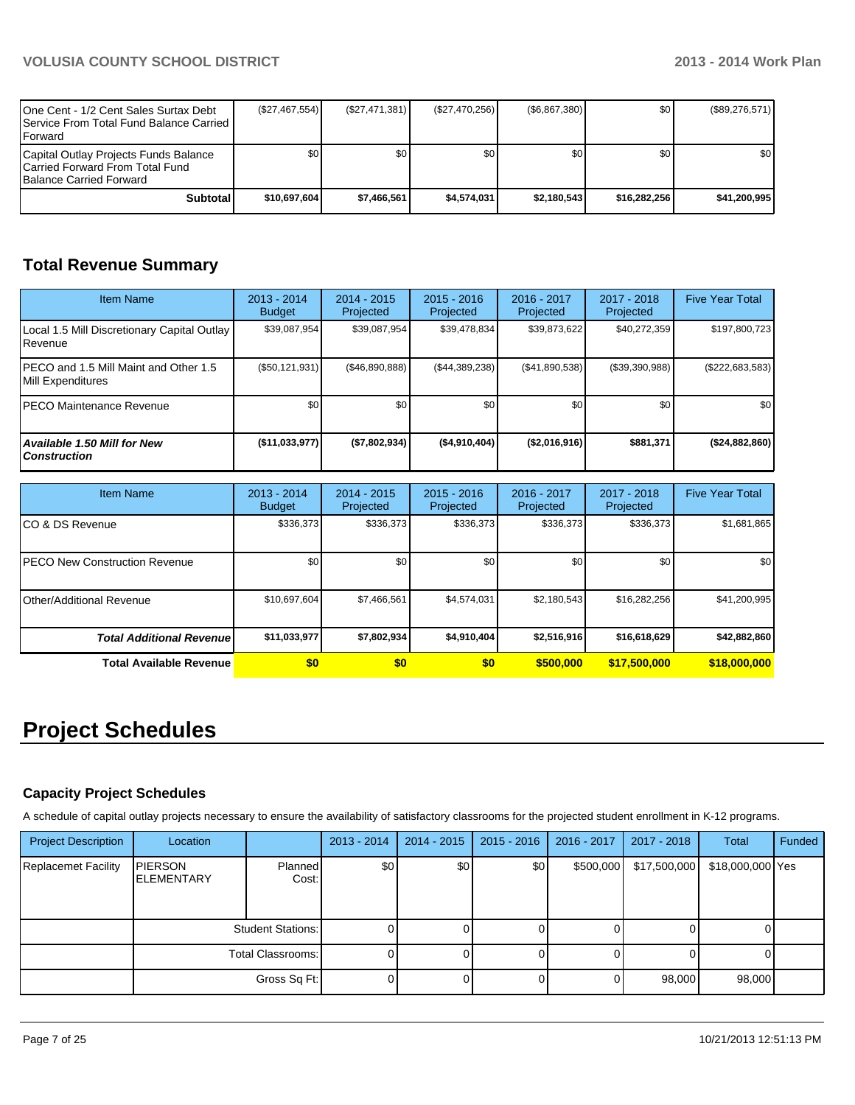| 10ne Cent - 1/2 Cent Sales Surtax Debt<br><b>I Service From Total Fund Balance Carried I</b><br><b>IForward</b> | (\$27,467,554) | (S27, 471, 381) | (\$27,470,256) | (\$6,867,380)    | \$0          | (\$89,276,571)   |
|-----------------------------------------------------------------------------------------------------------------|----------------|-----------------|----------------|------------------|--------------|------------------|
| Capital Outlay Projects Funds Balance<br>ICarried Forward From Total Fund<br><b>Balance Carried Forward</b>     | \$0            | \$0             | \$0            | \$0 <sub>0</sub> | \$0          | \$0 <sub>1</sub> |
| Subtotal                                                                                                        | \$10.697.604   | \$7.466.561     | \$4.574.031    | \$2.180.543      | \$16.282.256 | \$41.200.995     |

## **Total Revenue Summary**

| <b>Item Name</b>                                               | $2013 - 2014$<br><b>Budget</b> | $2014 - 2015$<br>Projected | $2015 - 2016$<br>Projected | 2016 - 2017<br>Projected | $2017 - 2018$<br>Projected | <b>Five Year Total</b> |
|----------------------------------------------------------------|--------------------------------|----------------------------|----------------------------|--------------------------|----------------------------|------------------------|
| Local 1.5 Mill Discretionary Capital Outlay<br><b>IRevenue</b> | \$39,087,954                   | \$39.087.954               | \$39.478.834               | \$39.873.622             | \$40,272,359               | \$197,800,723          |
| IPECO and 1.5 Mill Maint and Other 1.5<br>Mill Expenditures    | (S50, 121, 931)                | (S46.890.888)              | (\$44,389,238)             | (S41, 890, 538)          | (\$39,390,988)             | (\$222,683,583)        |
| <b>IPECO Maintenance Revenue</b>                               | \$0                            | \$0                        | \$0                        | \$0                      | \$0                        | \$0 <sub>1</sub>       |
| Available 1.50 Mill for New<br>l Construction                  | $($ \$11,033,977)              | (S7,802,934)               | ( \$4,910,404)             | (S2,016,916)             | \$881,371                  | (\$24,882,860)         |

| <b>Item Name</b>                      | $2013 - 2014$<br><b>Budget</b> | $2014 - 2015$<br>Projected | $2015 - 2016$<br>Projected | 2016 - 2017<br>Projected | $2017 - 2018$<br>Projected | <b>Five Year Total</b> |
|---------------------------------------|--------------------------------|----------------------------|----------------------------|--------------------------|----------------------------|------------------------|
| ICO & DS Revenue                      | \$336,373                      | \$336,373                  | \$336.373                  | \$336,373                | \$336,373                  | \$1,681,865            |
| <b>IPECO New Construction Revenue</b> | \$0 <sub>1</sub>               | \$0                        | \$0                        | \$0                      | \$0                        | \$0 <sub>1</sub>       |
| <b>IOther/Additional Revenue</b>      | \$10,697,604                   | \$7,466,561                | \$4,574,031                | \$2,180,543              | \$16,282,256               | \$41,200,995           |
| <b>Total Additional Revenuel</b>      | \$11,033,977                   | \$7,802,934                | \$4,910,404                | \$2,516,916              | \$16,618,629               | \$42,882,860           |
| Total Available Revenue               | \$0                            | \$0                        | \$0                        | \$500,000                | \$17,500,000               | \$18,000,000           |

## **Project Schedules**

## **Capacity Project Schedules**

A schedule of capital outlay projects necessary to ensure the availability of satisfactory classrooms for the projected student enrollment in K-12 programs.

| <b>Project Description</b> | Location                              |                          | $2013 - 2014$    | $2014 - 2015$ | $2015 - 2016$ | 2016 - 2017 | 2017 - 2018  | Total            | Funded |
|----------------------------|---------------------------------------|--------------------------|------------------|---------------|---------------|-------------|--------------|------------------|--------|
| <b>Replacemet Facility</b> | <b>IPIERSON</b><br><b>IELEMENTARY</b> | Planned<br>Cost:         | \$0 <sub>l</sub> | \$0           | \$0           | \$500,000   | \$17,500,000 | \$18,000,000 Yes |        |
|                            |                                       | <b>Student Stations:</b> |                  |               |               |             |              |                  |        |
|                            |                                       | Total Classrooms:        |                  |               |               |             |              |                  |        |
|                            |                                       | Gross Sq Ft:             |                  |               |               |             | 98,000       | 98,000           |        |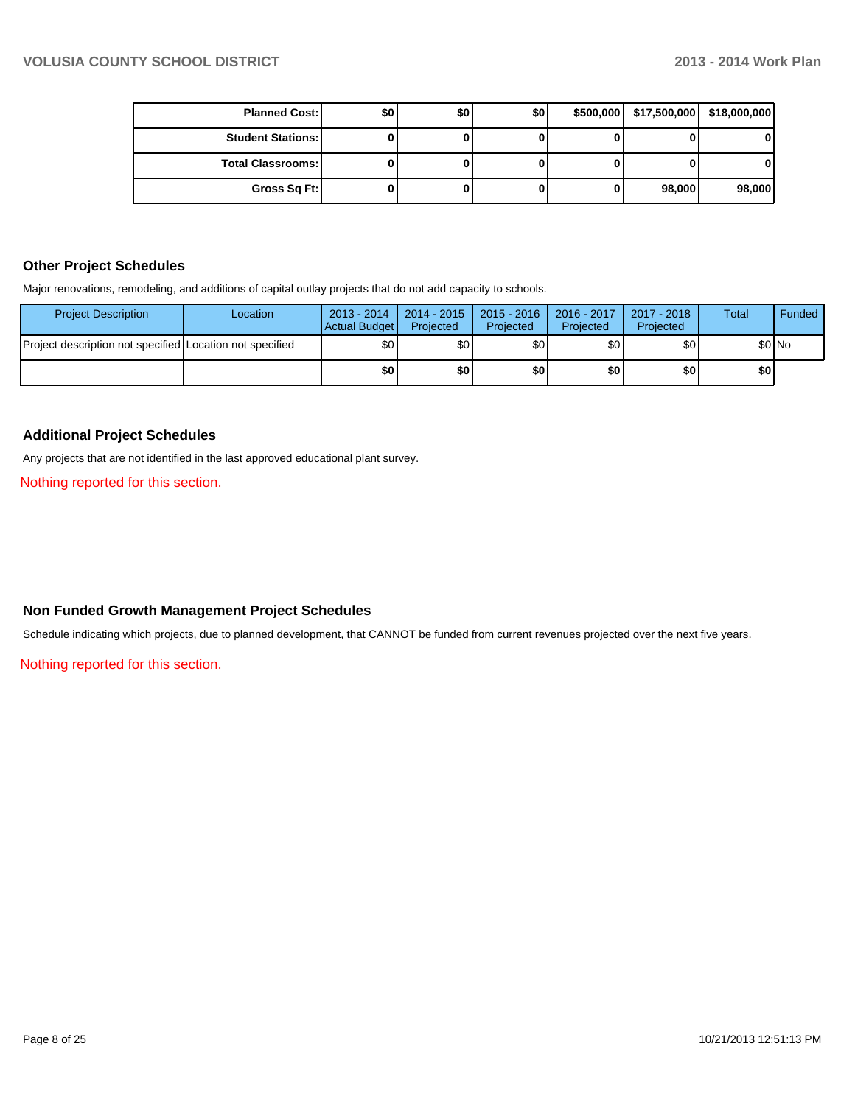| <b>Planned Cost:</b>     | \$0 | \$0 | \$0 | \$500,000   \$17,500,000 | \$18,000,000 |
|--------------------------|-----|-----|-----|--------------------------|--------------|
| <b>Student Stations:</b> |     |     |     |                          | 0            |
| <b>Total Classrooms:</b> |     |     |     |                          | 0            |
| Gross Sq Ft:             |     |     |     | 98,000                   | 98,000       |

#### **Other Project Schedules**

Major renovations, remodeling, and additions of capital outlay projects that do not add capacity to schools.

| <b>Project Description</b>                               | Location | $2013 - 2014$<br><b>Actual Budget</b> | $2014 - 2015$<br>Projected | $2015 - 2016$<br>Projected | 2016 - 2017<br>Projected | 2017 - 2018<br>Projected | Total | Funded |
|----------------------------------------------------------|----------|---------------------------------------|----------------------------|----------------------------|--------------------------|--------------------------|-------|--------|
| Project description not specified Location not specified |          | \$0                                   | \$0I                       | ا30                        | \$OI                     | \$0 <sub>1</sub>         |       | \$0 No |
|                                                          |          | \$0                                   | \$0 I                      | <b>\$0</b>                 | \$0                      | \$0                      | \$0   |        |

#### **Additional Project Schedules**

Any projects that are not identified in the last approved educational plant survey.

Nothing reported for this section.

### **Non Funded Growth Management Project Schedules**

Schedule indicating which projects, due to planned development, that CANNOT be funded from current revenues projected over the next five years.

Nothing reported for this section.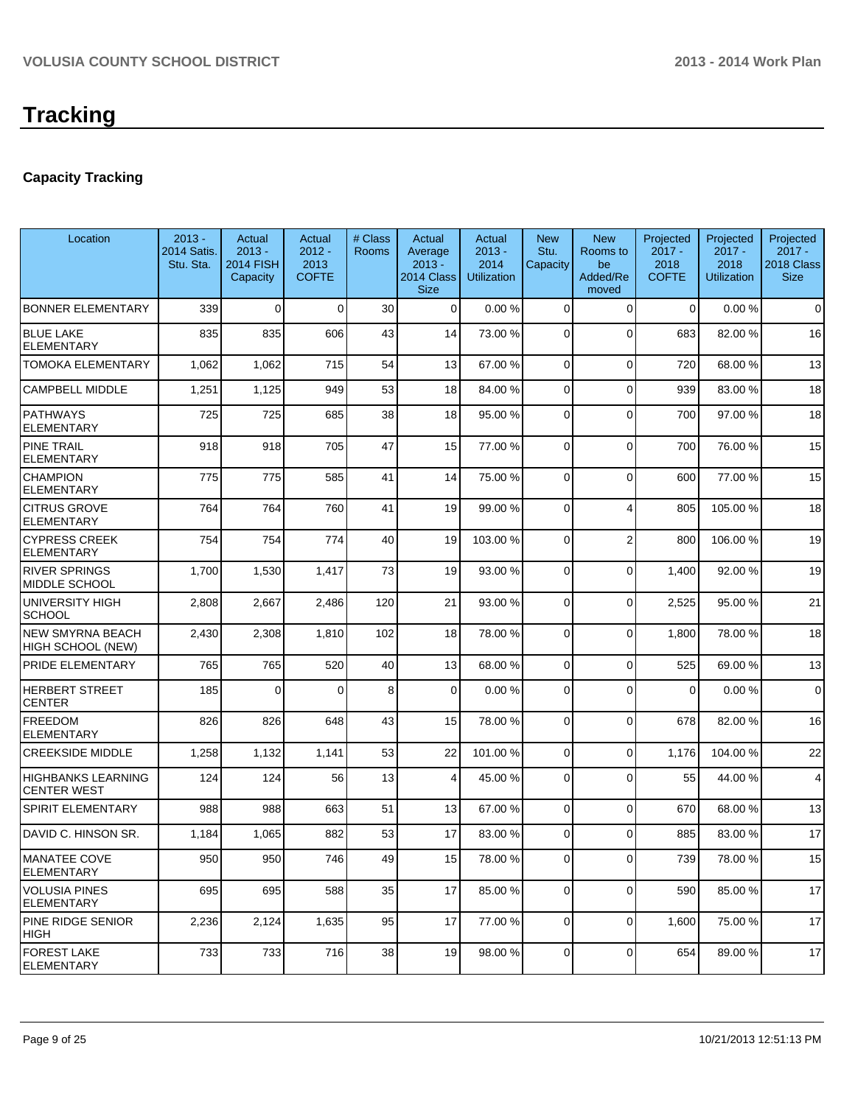## **Capacity Tracking**

| Location                                        | $2013 -$<br>2014 Satis.<br>Stu. Sta. | Actual<br>$2013 -$<br><b>2014 FISH</b><br>Capacity | Actual<br>$2012 -$<br>2013<br><b>COFTE</b> | # Class<br><b>Rooms</b> | Actual<br>Average<br>$2013 -$<br>2014 Class<br><b>Size</b> | Actual<br>$2013 -$<br>2014<br><b>Utilization</b> | <b>New</b><br>Stu.<br>Capacity | <b>New</b><br>Rooms to<br>be<br>Added/Re<br>moved | Projected<br>$2017 -$<br>2018<br><b>COFTE</b> | Projected<br>$2017 -$<br>2018<br><b>Utilization</b> | Projected<br>$2017 -$<br>2018 Class<br><b>Size</b> |
|-------------------------------------------------|--------------------------------------|----------------------------------------------------|--------------------------------------------|-------------------------|------------------------------------------------------------|--------------------------------------------------|--------------------------------|---------------------------------------------------|-----------------------------------------------|-----------------------------------------------------|----------------------------------------------------|
| <b>BONNER ELEMENTARY</b>                        | 339                                  | $\Omega$                                           | $\Omega$                                   | 30                      | $\Omega$                                                   | 0.00%                                            | $\Omega$                       | $\Omega$                                          | $\Omega$                                      | 0.00%                                               | $\mathbf 0$                                        |
| <b>BLUE LAKE</b><br><b>ELEMENTARY</b>           | 835                                  | 835                                                | 606                                        | 43                      | 14                                                         | 73.00 %                                          | $\Omega$                       | $\Omega$                                          | 683                                           | 82.00%                                              | 16                                                 |
| <b>TOMOKA ELEMENTARY</b>                        | 1,062                                | 1,062                                              | 715                                        | 54                      | 13                                                         | 67.00 %                                          | 0                              | $\Omega$                                          | 720                                           | 68.00 %                                             | 13                                                 |
| <b>CAMPBELL MIDDLE</b>                          | 1,251                                | 1,125                                              | 949                                        | 53                      | 18                                                         | 84.00 %                                          | 0                              | $\Omega$                                          | 939                                           | 83.00 %                                             | 18                                                 |
| <b>PATHWAYS</b><br><b>ELEMENTARY</b>            | 725                                  | 725                                                | 685                                        | 38                      | 18                                                         | 95.00 %                                          | $\Omega$                       | $\Omega$                                          | 700                                           | 97.00 %                                             | 18                                                 |
| <b>PINE TRAIL</b><br><b>ELEMENTARY</b>          | 918                                  | 918                                                | 705                                        | 47                      | 15                                                         | 77.00 %                                          | $\Omega$                       | $\Omega$                                          | 700                                           | 76.00 %                                             | 15                                                 |
| <b>CHAMPION</b><br><b>ELEMENTARY</b>            | 775                                  | 775                                                | 585                                        | 41                      | 14                                                         | 75.00 %                                          | 0                              | $\Omega$                                          | 600                                           | 77.00 %                                             | 15                                                 |
| <b>CITRUS GROVE</b><br><b>ELEMENTARY</b>        | 764                                  | 764                                                | 760                                        | 41                      | 19                                                         | 99.00 %                                          | 0                              | 4                                                 | 805                                           | 105.00%                                             | 18                                                 |
| <b>CYPRESS CREEK</b><br><b>ELEMENTARY</b>       | 754                                  | 754                                                | 774                                        | 40                      | 19                                                         | 103.00 %                                         | 0                              | $\overline{2}$                                    | 800                                           | 106.00%                                             | 19                                                 |
| <b>RIVER SPRINGS</b><br><b>MIDDLE SCHOOL</b>    | 1,700                                | 1,530                                              | 1,417                                      | 73                      | 19                                                         | 93.00 %                                          | 0                              | $\Omega$                                          | 1,400                                         | 92.00 %                                             | 19                                                 |
| UNIVERSITY HIGH<br><b>SCHOOL</b>                | 2,808                                | 2,667                                              | 2,486                                      | 120                     | 21                                                         | 93.00 %                                          | $\overline{0}$                 | $\Omega$                                          | 2,525                                         | 95.00 %                                             | 21                                                 |
| <b>NEW SMYRNA BEACH</b><br>HIGH SCHOOL (NEW)    | 2,430                                | 2,308                                              | 1,810                                      | 102                     | 18                                                         | 78.00 %                                          | 0                              | $\Omega$                                          | 1,800                                         | 78.00 %                                             | 18                                                 |
| PRIDE ELEMENTARY                                | 765                                  | 765                                                | 520                                        | 40                      | 13                                                         | 68.00 %                                          | 0                              | $\Omega$                                          | 525                                           | 69.00 %                                             | 13                                                 |
| <b>HERBERT STREET</b><br><b>CENTER</b>          | 185                                  | 0                                                  | $\Omega$                                   | 8                       | 0                                                          | 0.00%                                            | 0                              | $\Omega$                                          | $\Omega$                                      | 0.00%                                               | $\mathbf 0$                                        |
| <b>FREEDOM</b><br><b>ELEMENTARY</b>             | 826                                  | 826                                                | 648                                        | 43                      | 15                                                         | 78.00 %                                          | 0                              | $\Omega$                                          | 678                                           | 82.00%                                              | 16                                                 |
| <b>CREEKSIDE MIDDLE</b>                         | 1,258                                | 1,132                                              | 1,141                                      | 53                      | 22                                                         | 101.00 %                                         | $\overline{0}$                 | $\Omega$                                          | 1,176                                         | 104.00%                                             | 22                                                 |
| <b>HIGHBANKS LEARNING</b><br><b>CENTER WEST</b> | 124                                  | 124                                                | 56                                         | 13                      | $\vert 4 \vert$                                            | 45.00 %                                          | 0                              | $\Omega$                                          | 55                                            | 44.00 %                                             | $\overline{4}$                                     |
| <b>SPIRIT ELEMENTARY</b>                        | 988                                  | 988                                                | 663                                        | 51                      | 13                                                         | 67.00 %                                          | 0                              | $\Omega$                                          | 670                                           | 68.00 %                                             | 13                                                 |
| DAVID C. HINSON SR.                             | 1,184                                | 1,065                                              | 882                                        | 53                      | 17                                                         | 83.00 %                                          | 0                              | $\Omega$                                          | 885                                           | 83.00 %                                             | 17                                                 |
| <b>MANATEE COVE</b><br><b>ELEMENTARY</b>        | 950                                  | 950                                                | 746                                        | 49                      | 15 <sup>1</sup>                                            | 78.00 %                                          | $\overline{0}$                 | $\overline{0}$                                    | 739                                           | 78.00%                                              | 15                                                 |
| <b>VOLUSIA PINES</b><br><b>ELEMENTARY</b>       | 695                                  | 695                                                | 588                                        | 35                      | 17                                                         | 85.00 %                                          | $\overline{0}$                 | $\Omega$                                          | 590                                           | 85.00 %                                             | 17                                                 |
| PINE RIDGE SENIOR<br> HIGH                      | 2,236                                | 2,124                                              | 1,635                                      | 95                      | 17                                                         | 77.00 %                                          | $\overline{0}$                 | $\Omega$                                          | 1,600                                         | 75.00 %                                             | 17                                                 |
| <b>FOREST LAKE</b><br><b>ELEMENTARY</b>         | 733                                  | 733                                                | 716                                        | 38                      | 19                                                         | 98.00 %                                          | 0                              | $\mathbf 0$                                       | 654                                           | 89.00 %                                             | 17                                                 |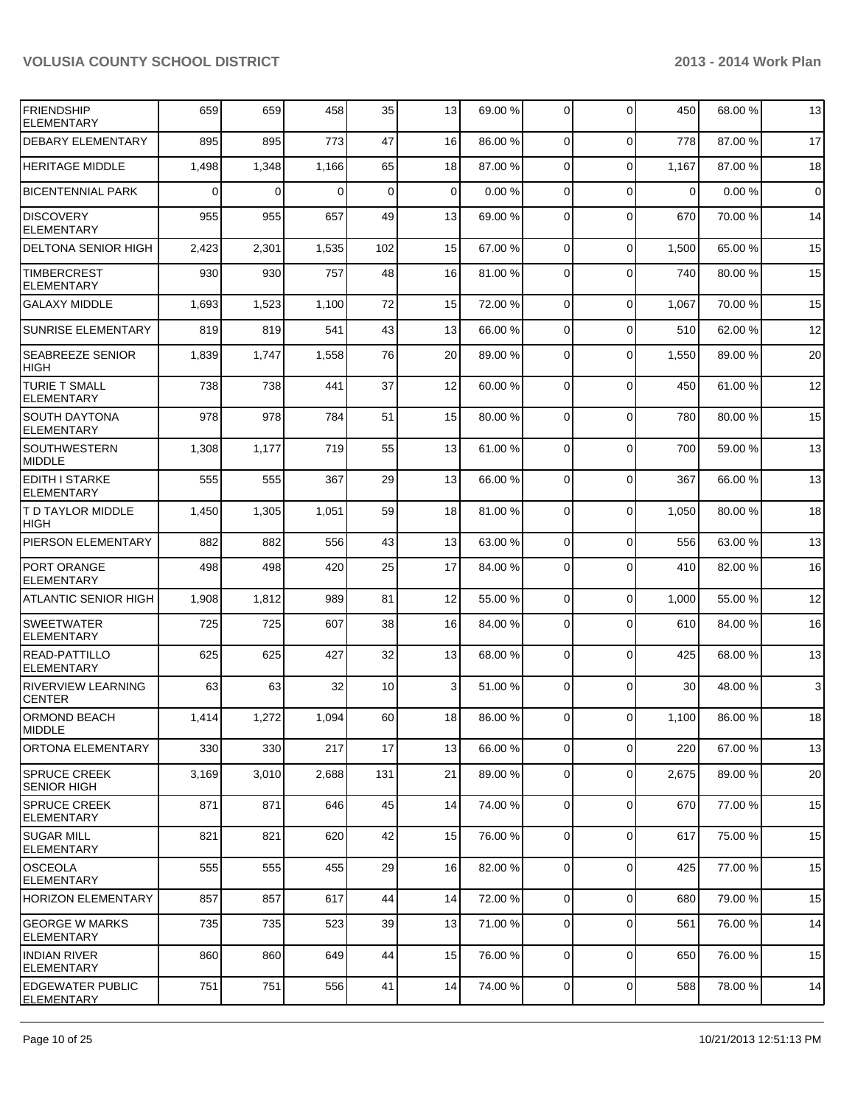| FRIENDSHIP<br><b>ELEMENTARY</b>              | 659      | 659      | 458      | 35  | 13              | 69.00 % | $\overline{0}$ | $\Omega$       | 450         | 68.00 % | 13             |
|----------------------------------------------|----------|----------|----------|-----|-----------------|---------|----------------|----------------|-------------|---------|----------------|
| <b>DEBARY ELEMENTARY</b>                     | 895      | 895      | 773      | 47  | 16              | 86.00 % | $\overline{0}$ | $\mathbf 0$    | 778         | 87.00%  | 17             |
| <b>HERITAGE MIDDLE</b>                       | 1,498    | 1,348    | 1,166    | 65  | 18              | 87.00 % | $\Omega$       | $\Omega$       | 1,167       | 87.00 % | 18             |
| <b>BICENTENNIAL PARK</b>                     | $\Omega$ | $\Omega$ | $\Omega$ | 0   | $\Omega$        | 0.00%   | $\overline{0}$ | $\Omega$       | $\mathbf 0$ | 0.00%   | $\overline{0}$ |
| <b>DISCOVERY</b><br><b>ELEMENTARY</b>        | 955      | 955      | 657      | 49  | 13              | 69.00 % | $\Omega$       | $\Omega$       | 670         | 70.00 % | 14             |
| <b>DELTONA SENIOR HIGH</b>                   | 2,423    | 2,301    | 1,535    | 102 | 15              | 67.00 % | $\overline{0}$ | $\mathbf 0$    | 1,500       | 65.00 % | 15             |
| <b>TIMBERCREST</b><br><b>ELEMENTARY</b>      | 930      | 930      | 757      | 48  | 16              | 81.00 % | $\Omega$       | $\Omega$       | 740         | 80.00 % | 15             |
| <b>GALAXY MIDDLE</b>                         | 1,693    | 1,523    | 1,100    | 72  | 15              | 72.00 % | $\Omega$       | $\Omega$       | 1,067       | 70.00%  | 15             |
| <b>SUNRISE ELEMENTARY</b>                    | 819      | 819      | 541      | 43  | 13              | 66.00 % | $\Omega$       | $\mathbf 0$    | 510         | 62.00%  | 12             |
| <b>SEABREEZE SENIOR</b><br><b>HIGH</b>       | 1,839    | 1,747    | 1,558    | 76  | 20              | 89.00 % | $\Omega$       | $\mathbf 0$    | 1,550       | 89.00 % | 20             |
| <b>TURIE T SMALL</b><br><b>ELEMENTARY</b>    | 738      | 738      | 441      | 37  | 12              | 60.00 % | $\Omega$       | $\mathbf 0$    | 450         | 61.00%  | 12             |
| <b>SOUTH DAYTONA</b><br><b>ELEMENTARY</b>    | 978      | 978      | 784      | 51  | 15              | 80.00 % | $\Omega$       | $\overline{0}$ | 780         | 80.00%  | 15             |
| <b>SOUTHWESTERN</b><br><b>MIDDLE</b>         | 1,308    | 1,177    | 719      | 55  | 13              | 61.00%  | $\Omega$       | $\Omega$       | 700         | 59.00 % | 13             |
| <b>EDITH I STARKE</b><br><b>ELEMENTARY</b>   | 555      | 555      | 367      | 29  | 13              | 66.00 % | $\Omega$       | $\Omega$       | 367         | 66.00 % | 13             |
| T D TAYLOR MIDDLE<br><b>HIGH</b>             | 1,450    | 1,305    | 1,051    | 59  | 18              | 81.00 % | $\Omega$       | $\Omega$       | 1,050       | 80.00%  | 18             |
| PIERSON ELEMENTARY                           | 882      | 882      | 556      | 43  | 13              | 63.00 % | $\Omega$       | $\mathbf 0$    | 556         | 63.00 % | 13             |
| PORT ORANGE<br><b>ELEMENTARY</b>             | 498      | 498      | 420      | 25  | 17              | 84.00 % | $\Omega$       | $\Omega$       | 410         | 82.00%  | 16             |
| <b>ATLANTIC SENIOR HIGH</b>                  | 1,908    | 1,812    | 989      | 81  | 12              | 55.00 % | $\overline{0}$ | $\mathbf 0$    | 1,000       | 55.00 % | 12             |
| <b>SWEETWATER</b><br><b>ELEMENTARY</b>       | 725      | 725      | 607      | 38  | 16              | 84.00 % | $\overline{0}$ | $\Omega$       | 610         | 84.00 % | 16             |
| <b>READ-PATTILLO</b><br><b>ELEMENTARY</b>    | 625      | 625      | 427      | 32  | 13              | 68.00 % | $\Omega$       | $\Omega$       | 425         | 68.00 % | 13             |
| <b>RIVERVIEW LEARNING</b><br><b>CENTER</b>   | 63       | 63       | 32       | 10  | 3 <sup>1</sup>  | 51.00 % | $\Omega$       | $\Omega$       | 30          | 48.00 % | $\mathbf{3}$   |
| <b>ORMOND BEACH</b><br>MIDDLE                | 1,414    | 1,272    | 1,094    | 60  | 18 <sup>1</sup> | 86.00 % | $\overline{0}$ | $\Omega$       | 1,100       | 86.00 % | 18             |
| ORTONA ELEMENTARY                            | 330      | 330      | 217      | 17  | 13              | 66.00 % | $\overline{0}$ | $\mathbf 0$    | 220         | 67.00 % | 13             |
| <b>SPRUCE CREEK</b><br><b>SENIOR HIGH</b>    | 3,169    | 3,010    | 2,688    | 131 | 21              | 89.00 % | $\overline{0}$ | $\mathbf 0$    | 2,675       | 89.00 % | 20             |
| <b>SPRUCE CREEK</b><br><b>ELEMENTARY</b>     | 871      | 871      | 646      | 45  | 14              | 74.00 % | $\overline{0}$ | $\mathbf 0$    | 670         | 77.00 % | 15             |
| <b>SUGAR MILL</b><br><b>ELEMENTARY</b>       | 821      | 821      | 620      | 42  | 15              | 76.00 % | $\overline{0}$ | $\mathbf 0$    | 617         | 75.00 % | 15             |
| <b>OSCEOLA</b><br><b>ELEMENTARY</b>          | 555      | 555      | 455      | 29  | 16              | 82.00 % | $\overline{0}$ | $\mathbf 0$    | 425         | 77.00 % | 15             |
| <b>HORIZON ELEMENTARY</b>                    | 857      | 857      | 617      | 44  | 14              | 72.00 % | $\overline{0}$ | $\mathbf 0$    | 680         | 79.00 % | 15             |
| <b>GEORGE W MARKS</b><br><b>ELEMENTARY</b>   | 735      | 735      | 523      | 39  | 13              | 71.00 % | $\overline{0}$ | $\mathbf 0$    | 561         | 76.00 % | 14             |
| <b>INDIAN RIVER</b><br><b>ELEMENTARY</b>     | 860      | 860      | 649      | 44  | 15              | 76.00 % | 0              | $\mathbf 0$    | 650         | 76.00 % | 15             |
| <b>EDGEWATER PUBLIC</b><br><b>ELEMENTARY</b> | 751      | 751      | 556      | 41  | 14              | 74.00 % | $\overline{0}$ | $\mathbf 0$    | 588         | 78.00%  | 14             |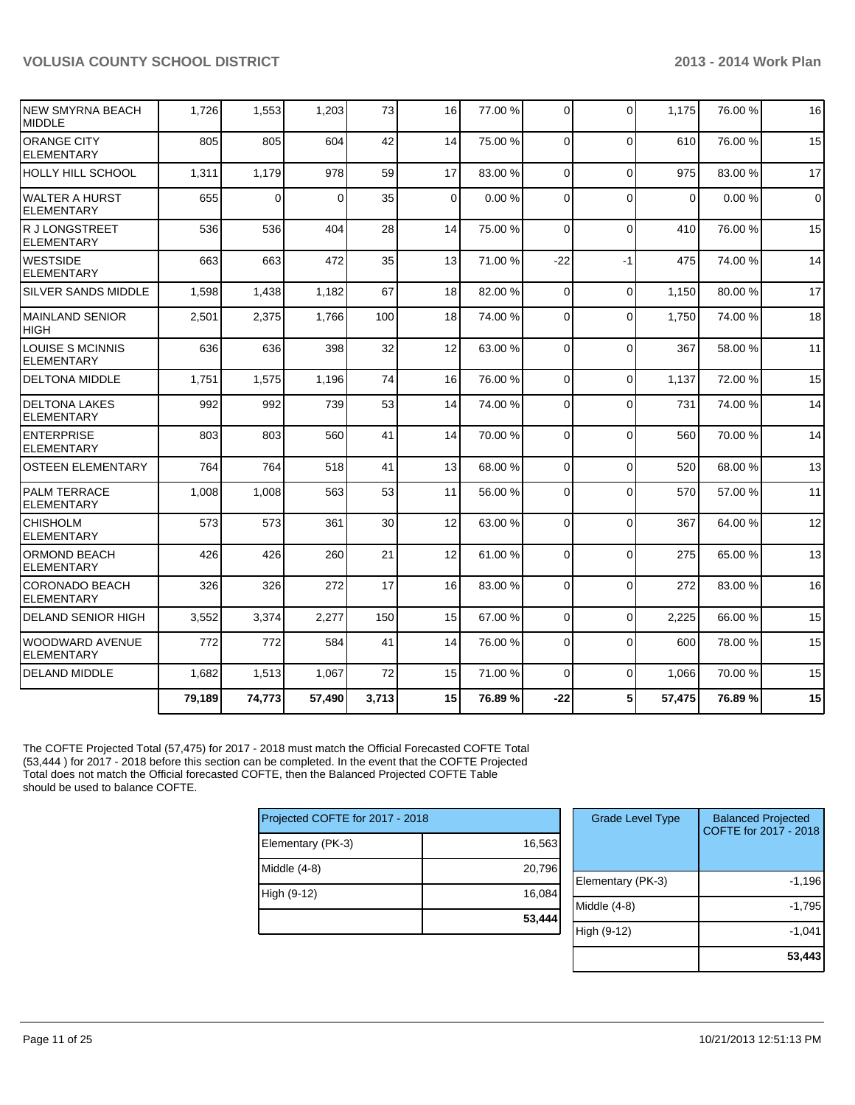| <b>NEW SMYRNA BEACH</b><br><b>MIDDLE</b>     | 1,726  | 1,553          | 1,203    | 73    | 16          | 77.00 % | $\Omega$    | $\Omega$    | 1,175    | 76.00 % | 16          |
|----------------------------------------------|--------|----------------|----------|-------|-------------|---------|-------------|-------------|----------|---------|-------------|
| <b>ORANGE CITY</b><br><b>ELEMENTARY</b>      | 805    | 805            | 604      | 42    | 14          | 75.00 % | $\Omega$    | $\Omega$    | 610      | 76.00 % | 15          |
| <b>HOLLY HILL SCHOOL</b>                     | 1,311  | 1,179          | 978      | 59    | 17          | 83.00 % | $\Omega$    | $\Omega$    | 975      | 83.00%  | 17          |
| WALTER A HURST<br><b>ELEMENTARY</b>          | 655    | $\overline{0}$ | $\Omega$ | 35    | $\mathbf 0$ | 0.00%   | $\mathbf 0$ | $\Omega$    | $\Omega$ | 0.00%   | $\mathbf 0$ |
| R J LONGSTREET<br><b>ELEMENTARY</b>          | 536    | 536            | 404      | 28    | 14          | 75.00 % | $\Omega$    | $\Omega$    | 410      | 76.00%  | 15          |
| <b>WESTSIDE</b><br><b>ELEMENTARY</b>         | 663    | 663            | 472      | 35    | 13          | 71.00 % | $-22$       | $-1$        | 475      | 74.00%  | 14          |
| <b>SILVER SANDS MIDDLE</b>                   | 1,598  | 1,438          | 1,182    | 67    | 18          | 82.00 % | $\mathbf 0$ | $\Omega$    | 1,150    | 80.00%  | 17          |
| <b>MAINLAND SENIOR</b><br><b>HIGH</b>        | 2,501  | 2,375          | 1,766    | 100   | 18          | 74.00 % | 0           | $\Omega$    | 1,750    | 74.00%  | 18          |
| <b>LOUISE S MCINNIS</b><br><b>ELEMENTARY</b> | 636    | 636            | 398      | 32    | 12          | 63.00 % | $\Omega$    | $\Omega$    | 367      | 58.00 % | 11          |
| <b>DELTONA MIDDLE</b>                        | 1,751  | 1,575          | 1.196    | 74    | 16          | 76.00 % | $\Omega$    | $\Omega$    | 1.137    | 72.00 % | 15          |
| <b>DELTONA LAKES</b><br><b>ELEMENTARY</b>    | 992    | 992            | 739      | 53    | 14          | 74.00 % | $\Omega$    | $\Omega$    | 731      | 74.00%  | 14          |
| <b>ENTERPRISE</b><br><b>ELEMENTARY</b>       | 803    | 803            | 560      | 41    | 14          | 70.00 % | $\Omega$    | $\Omega$    | 560      | 70.00%  | 14          |
| <b>OSTEEN ELEMENTARY</b>                     | 764    | 764            | 518      | 41    | 13          | 68.00 % | 0           | $\Omega$    | 520      | 68.00 % | 13          |
| <b>PALM TERRACE</b><br><b>ELEMENTARY</b>     | 1,008  | 1,008          | 563      | 53    | 11          | 56.00 % | $\Omega$    | $\Omega$    | 570      | 57.00 % | 11          |
| <b>CHISHOLM</b><br><b>ELEMENTARY</b>         | 573    | 573            | 361      | 30    | 12          | 63.00 % | $\Omega$    | $\Omega$    | 367      | 64.00%  | 12          |
| <b>ORMOND BEACH</b><br><b>ELEMENTARY</b>     | 426    | 426            | 260      | 21    | 12          | 61.00%  | $\Omega$    | $\Omega$    | 275      | 65.00 % | 13          |
| <b>CORONADO BEACH</b><br><b>ELEMENTARY</b>   | 326    | 326            | 272      | 17    | 16          | 83.00 % | $\Omega$    | $\Omega$    | 272      | 83.00 % | 16          |
| <b>DELAND SENIOR HIGH</b>                    | 3,552  | 3,374          | 2,277    | 150   | 15          | 67.00 % | $\Omega$    | $\Omega$    | 2,225    | 66.00 % | 15          |
| <b>WOODWARD AVENUE</b><br><b>ELEMENTARY</b>  | 772    | 772            | 584      | 41    | 14          | 76.00 % | $\Omega$    | $\Omega$    | 600      | 78.00 % | 15          |
| <b>DELAND MIDDLE</b>                         | 1,682  | 1,513          | 1,067    | 72    | 15          | 71.00 % | $\mathbf 0$ | $\mathbf 0$ | 1,066    | 70.00%  | 15          |
|                                              | 79,189 | 74,773         | 57,490   | 3,713 | 15          | 76.89%  | $-22$       | 5           | 57,475   | 76.89%  | 15          |

The COFTE Projected Total (57,475) for 2017 - 2018 must match the Official Forecasted COFTE Total (53,444 ) for 2017 - 2018 before this section can be completed. In the event that the COFTE Projected Total does not match the Official forecasted COFTE, then the Balanced Projected COFTE Table should be used to balance COFTE.

| Projected COFTE for 2017 - 2018 |        |  |  |  |  |  |
|---------------------------------|--------|--|--|--|--|--|
| Elementary (PK-3)               | 16,563 |  |  |  |  |  |
| Middle $(4-8)$                  | 20,796 |  |  |  |  |  |
| High (9-12)                     | 16,084 |  |  |  |  |  |
|                                 | 53,444 |  |  |  |  |  |

| <b>Grade Level Type</b> | <b>Balanced Projected</b><br>COFTE for 2017 - 2018 |
|-------------------------|----------------------------------------------------|
| Elementary (PK-3)       | $-1,196$                                           |
| Middle (4-8)            | $-1,795$                                           |
| High (9-12)             | $-1,041$                                           |
|                         | 53,443                                             |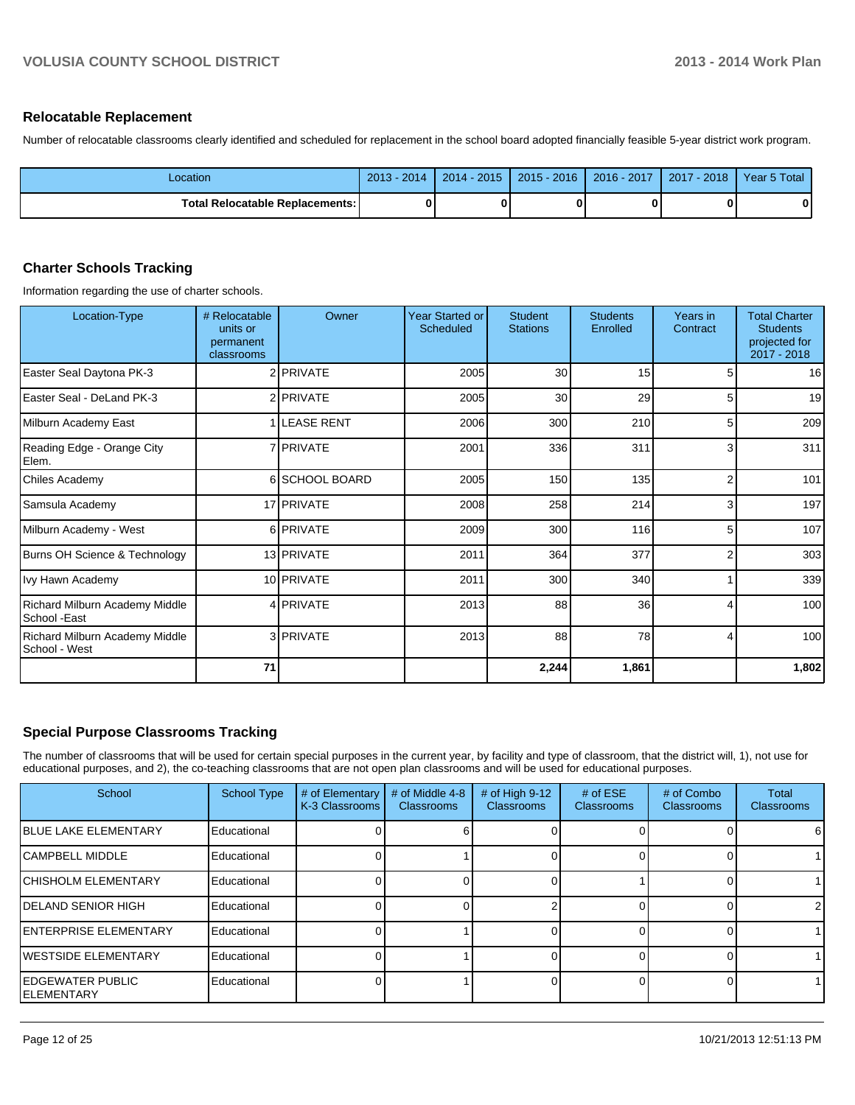#### **Relocatable Replacement**

Number of relocatable classrooms clearly identified and scheduled for replacement in the school board adopted financially feasible 5-year district work program.

| Location                        | 2013 - 2014 | $2014 - 2015$ | 2015 - 2016 | 2016 - 2017 | $2017 - 2018$ | Year 5 Total |
|---------------------------------|-------------|---------------|-------------|-------------|---------------|--------------|
| Total Relocatable Replacements: | ŋ           |               | 0           |             |               |              |

#### **Charter Schools Tracking**

Information regarding the use of charter schools.

| Location-Type                                   | # Relocatable<br>units or<br>permanent<br>classrooms | Owner             | <b>Year Started or</b><br><b>Scheduled</b> | <b>Student</b><br><b>Stations</b> | <b>Students</b><br>Enrolled | Years in<br>Contract | <b>Total Charter</b><br><b>Students</b><br>projected for<br>2017 - 2018 |
|-------------------------------------------------|------------------------------------------------------|-------------------|--------------------------------------------|-----------------------------------|-----------------------------|----------------------|-------------------------------------------------------------------------|
| Easter Seal Daytona PK-3                        |                                                      | 2 PRIVATE         | 2005                                       | 30                                | 15                          |                      | 16                                                                      |
| Easter Seal - DeLand PK-3                       |                                                      | 2 PRIVATE         | 2005                                       | 30                                | 29                          | 5                    | 19                                                                      |
| Milburn Academy East                            |                                                      | <b>LEASE RENT</b> | 2006                                       | 300                               | 210                         | 5                    | 209                                                                     |
| Reading Edge - Orange City<br>Elem.             |                                                      | 7 <b>PRIVATE</b>  | 2001                                       | 336                               | 311                         | 3                    | 311                                                                     |
| <b>Chiles Academy</b>                           |                                                      | 6 SCHOOL BOARD    | 2005                                       | 150                               | 135                         | 2                    | 101                                                                     |
| Samsula Academy                                 |                                                      | 17 PRIVATE        | 2008                                       | 258                               | 214                         | 3                    | 197                                                                     |
| Milburn Academy - West                          |                                                      | 6 PRIVATE         | 2009                                       | 300                               | 116                         | 5                    | 107                                                                     |
| Burns OH Science & Technology                   |                                                      | 13 PRIVATE        | 2011                                       | 364                               | 377                         | 2                    | 303                                                                     |
| Ivy Hawn Academy                                |                                                      | 10 PRIVATE        | 2011                                       | 300                               | 340                         |                      | 339                                                                     |
| Richard Milburn Academy Middle<br>School - East |                                                      | 4 PRIVATE         | 2013                                       | 88                                | 36                          | 4                    | 100                                                                     |
| Richard Milburn Academy Middle<br>School - West |                                                      | 3 PRIVATE         | 2013                                       | 88                                | 78                          | 4                    | 100                                                                     |
|                                                 | 71                                                   |                   |                                            | 2,244                             | 1,861                       |                      | 1,802                                                                   |

#### **Special Purpose Classrooms Tracking**

The number of classrooms that will be used for certain special purposes in the current year, by facility and type of classroom, that the district will, 1), not use for educational purposes, and 2), the co-teaching classrooms that are not open plan classrooms and will be used for educational purposes.

| School                                         | <b>School Type</b> | # of Elementary<br>K-3 Classrooms | # of Middle 4-8<br><b>Classrooms</b> | # of High 9-12<br><b>Classrooms</b> | # of $ESE$<br><b>Classrooms</b> | # of Combo<br><b>Classrooms</b> | <b>Total</b><br><b>Classrooms</b> |
|------------------------------------------------|--------------------|-----------------------------------|--------------------------------------|-------------------------------------|---------------------------------|---------------------------------|-----------------------------------|
| <b>IBLUE LAKE ELEMENTARY</b>                   | Educational        |                                   |                                      |                                     |                                 |                                 | 6                                 |
| <b>ICAMPBELL MIDDLE</b>                        | Educational        |                                   |                                      |                                     |                                 |                                 |                                   |
| <b>ICHISHOLM ELEMENTARY</b>                    | Educational        |                                   |                                      |                                     |                                 |                                 |                                   |
| <b>IDELAND SENIOR HIGH</b>                     | Educational        |                                   |                                      |                                     |                                 |                                 | $\overline{2}$                    |
| <b>IENTERPRISE ELEMENTARY</b>                  | Educational        |                                   |                                      |                                     |                                 |                                 |                                   |
| <b>IWESTSIDE ELEMENTARY</b>                    | Educational        |                                   |                                      |                                     |                                 |                                 |                                   |
| <b>IEDGEWATER PUBLIC</b><br><b>IELEMENTARY</b> | Educational        |                                   |                                      |                                     |                                 |                                 |                                   |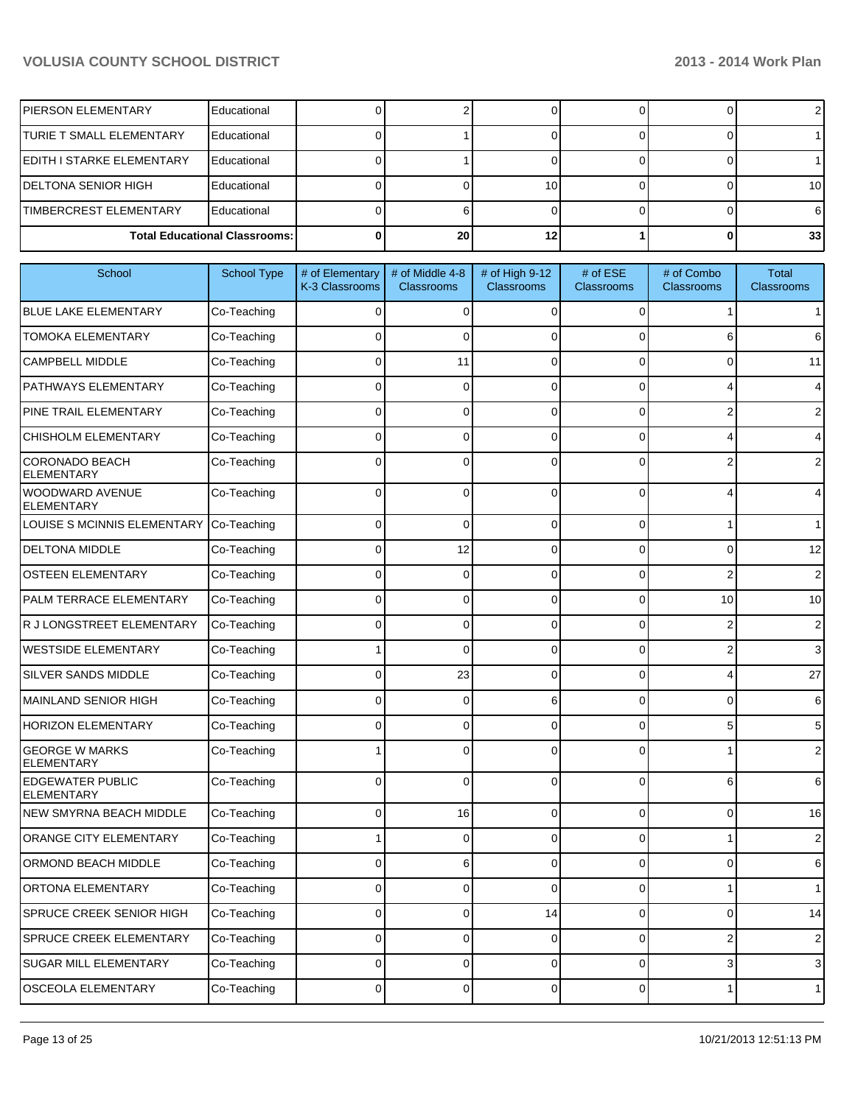| <b>IPIERSON ELEMENTARY</b>       | Educational                          |                 |  |            |
|----------------------------------|--------------------------------------|-----------------|--|------------|
| <b>ITURIE T SMALL ELEMENTARY</b> | Educational                          |                 |  |            |
| EDITH I STARKE ELEMENTARY        | Educational                          |                 |  |            |
| <b>IDELTONA SENIOR HIGH</b>      | Educational                          |                 |  | 10 I       |
| <b>ITIMBERCREST ELEMENTARY</b>   | Educational                          |                 |  | 61         |
|                                  | <b>Total Educational Classrooms:</b> | 20 <sub>1</sub> |  | <b>331</b> |

| School                                       | School Type | # of Elementary<br>K-3 Classrooms | # of Middle 4-8<br>Classrooms | # of High 9-12<br><b>Classrooms</b> | $#$ of $ESE$<br><b>Classrooms</b> | # of Combo<br><b>Classrooms</b> | <b>Total</b><br><b>Classrooms</b> |
|----------------------------------------------|-------------|-----------------------------------|-------------------------------|-------------------------------------|-----------------------------------|---------------------------------|-----------------------------------|
| <b>BLUE LAKE ELEMENTARY</b>                  | Co-Teaching | 0                                 | $\Omega$                      | $\Omega$                            | 0                                 | 1                               | 1                                 |
| <b>TOMOKA ELEMENTARY</b>                     | Co-Teaching | 0                                 | $\Omega$                      | $\Omega$                            | 0                                 | 6                               | 6                                 |
| <b>CAMPBELL MIDDLE</b>                       | Co-Teaching | 0                                 | 11                            | $\Omega$                            | 0                                 | 0                               | 11                                |
| <b>PATHWAYS ELEMENTARY</b>                   | Co-Teaching | 0                                 | $\Omega$                      | $\Omega$                            | 0                                 | 4                               | 4                                 |
| PINE TRAIL ELEMENTARY                        | Co-Teaching | $\Omega$                          | $\Omega$                      | $\Omega$                            | $\Omega$                          | 2                               | 2                                 |
| <b>CHISHOLM ELEMENTARY</b>                   | Co-Teaching | $\Omega$                          | $\Omega$                      | $\Omega$                            | $\Omega$                          | 4                               | 4                                 |
| <b>CORONADO BEACH</b><br><b>ELEMENTARY</b>   | Co-Teaching | 0                                 | 0                             | $\Omega$                            | 0                                 | 2                               | 2                                 |
| WOODWARD AVENUE<br><b>ELEMENTARY</b>         | Co-Teaching | $\Omega$                          | 0                             | $\Omega$                            | $\Omega$                          | 4                               | 4                                 |
| LOUISE S MCINNIS ELEMENTARY                  | Co-Teaching | 0                                 | $\Omega$                      | 0                                   | 0                                 | 1                               | 1                                 |
| <b>DELTONA MIDDLE</b>                        | Co-Teaching | 0                                 | 12                            | 0                                   | 0                                 | 0                               | 12                                |
| <b>OSTEEN ELEMENTARY</b>                     | Co-Teaching | ი                                 | 0                             | 0                                   | 0                                 | 2                               | 2                                 |
| PALM TERRACE ELEMENTARY                      | Co-Teaching | 0                                 | 0                             | 0                                   | 0                                 | 10                              | 10                                |
| R J LONGSTREET ELEMENTARY                    | Co-Teaching | ი                                 | 0                             | $\Omega$                            | 0                                 | 2                               | 2                                 |
| <b>WESTSIDE ELEMENTARY</b>                   | Co-Teaching |                                   | 0                             | 0                                   | 0                                 | 2                               | 3                                 |
| <b>SILVER SANDS MIDDLE</b>                   | Co-Teaching | ი                                 | 23                            | 0                                   | 0                                 | 4                               | 27                                |
| MAINLAND SENIOR HIGH                         | Co-Teaching | 0                                 | 0                             | 6                                   | 0                                 | 0                               | 6                                 |
| <b>HORIZON ELEMENTARY</b>                    | Co-Teaching | ი                                 | 0                             | $\Omega$                            | $\Omega$                          | 5                               | 5                                 |
| <b>GEORGE W MARKS</b><br><b>ELEMENTARY</b>   | Co-Teaching |                                   | U                             | 0                                   | 0                                 |                                 | $\overline{2}$                    |
| <b>EDGEWATER PUBLIC</b><br><b>ELEMENTARY</b> | Co-Teaching | $\Omega$                          | $\Omega$                      | $\Omega$                            | $\Omega$                          | 6                               | 6                                 |
| NEW SMYRNA BEACH MIDDLE                      | Co-Teaching | 0                                 | 16                            | $\Omega$                            | $\Omega$                          | 0                               | 16                                |
| ORANGE CITY ELEMENTARY                       | Co-Teaching |                                   | $\Omega$                      | $\Omega$                            | 0                                 | 1                               | $\overline{2}$                    |
| ORMOND BEACH MIDDLE                          | Co-Teaching | $\Omega$                          | 6                             | $\Omega$                            | 0                                 | 0                               | 6                                 |
| ORTONA ELEMENTARY                            | Co-Teaching | U                                 |                               |                                     |                                   |                                 |                                   |
| SPRUCE CREEK SENIOR HIGH                     | Co-Teaching | 0                                 | $\overline{0}$                | 14                                  | $\overline{0}$                    | $\overline{0}$                  | 14                                |
| SPRUCE CREEK ELEMENTARY                      | Co-Teaching | 0                                 | $\overline{0}$                | $\mathbf 0$                         | 0                                 | $\mathbf{2}$                    | $\sqrt{2}$                        |
| SUGAR MILL ELEMENTARY                        | Co-Teaching | 0                                 | $\overline{0}$                | $\overline{0}$                      | $\overline{0}$                    | $\overline{3}$                  | $\mathbf{3}$                      |
| OSCEOLA ELEMENTARY                           | Co-Teaching | 0                                 | $\overline{0}$                | 0                                   | $\overline{0}$                    | 1 <sup>1</sup>                  | $\mathbf{1}$                      |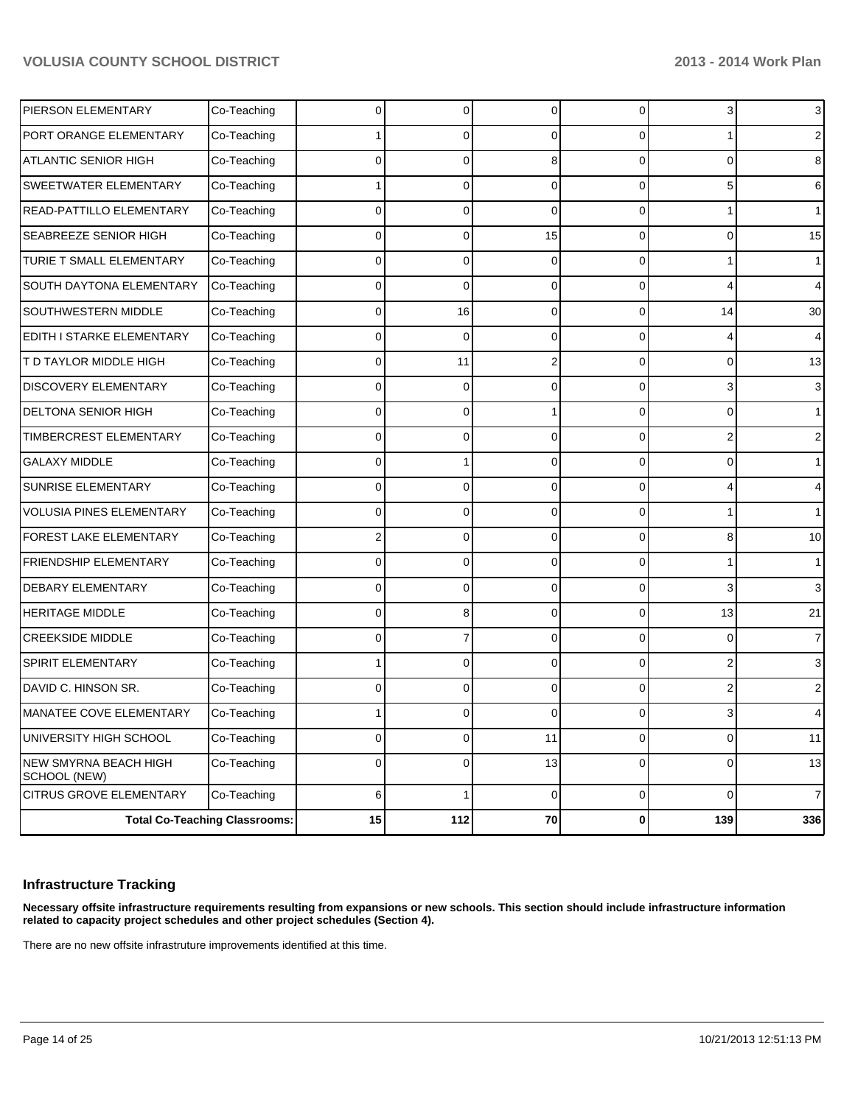| PIERSON ELEMENTARY                    | Co-Teaching                          |              | 0              | $\Omega$  | 0              | $\overline{3}$ | 3              |
|---------------------------------------|--------------------------------------|--------------|----------------|-----------|----------------|----------------|----------------|
| PORT ORANGE ELEMENTARY                | Co-Teaching                          |              | 0              | $\Omega$  | U              |                | 2              |
| <b>ATLANTIC SENIOR HIGH</b>           | Co-Teaching                          | <sup>0</sup> | 0              | 8         | 0              | $\Omega$       | 8              |
| SWEETWATER ELEMENTARY                 | Co-Teaching                          |              | 0              | $\Omega$  | 0              | 5              | 6              |
| READ-PATTILLO ELEMENTARY              | Co-Teaching                          | <sup>0</sup> | 0              | $\Omega$  | 0              |                | $\mathbf{1}$   |
| SEABREEZE SENIOR HIGH                 | Co-Teaching                          | $\Omega$     | 0              | 15        | 0              | $\Omega$       | 15             |
| TURIE T SMALL ELEMENTARY              | Co-Teaching                          | 0            | 0              | $\Omega$  | 0              |                | 1              |
| SOUTH DAYTONA ELEMENTARY              | Co-Teaching                          | 0            | $\mathbf{0}$   | $\Omega$  | 0              | 4              | 4              |
| <b>SOUTHWESTERN MIDDLE</b>            | Co-Teaching                          |              | 16             | $\Omega$  | 0              | 14             | 30             |
| EDITH I STARKE ELEMENTARY             | Co-Teaching                          | $\Omega$     | $\mathbf{0}$   | $\Omega$  | 0              | 4              | 4              |
| T D TAYLOR MIDDLE HIGH                | Co-Teaching                          | 0            | 11             | 2         | 0              | $\overline{0}$ | 13             |
| <b>DISCOVERY ELEMENTARY</b>           | Co-Teaching                          | 0            | $\Omega$       | $\Omega$  | 0              | 3              | 3              |
| <b>DELTONA SENIOR HIGH</b>            | Co-Teaching                          | 0            | 0              |           | 0              | $\Omega$       | $\mathbf 1$    |
| TIMBERCREST ELEMENTARY                | Co-Teaching                          | $\Omega$     | 0              | $\Omega$  | 0              | 2              | $\overline{2}$ |
| <b>GALAXY MIDDLE</b>                  | Co-Teaching                          | <sup>0</sup> |                | $\Omega$  | 0              | $\Omega$       | 1              |
| <b>SUNRISE ELEMENTARY</b>             | Co-Teaching                          | 0            | 0              | $\Omega$  | 0              | 4              | 4              |
| <b>VOLUSIA PINES ELEMENTARY</b>       | Co-Teaching                          | 0            | 0              | $\Omega$  | 0              |                | 1              |
| FOREST LAKE ELEMENTARY                | Co-Teaching                          |              | 0              | $\Omega$  | 0              | 8              | 10             |
| <b>FRIENDSHIP ELEMENTARY</b>          | Co-Teaching                          |              | 0              | $\Omega$  | 0              |                | 1              |
| <b>DEBARY ELEMENTARY</b>              | Co-Teaching                          | $\Omega$     | 0              | $\Omega$  | 0              | 3              | $\overline{3}$ |
| <b>HERITAGE MIDDLE</b>                | Co-Teaching                          | 0            | 8              | $\Omega$  | 0              | 13             | 21             |
| <b>CREEKSIDE MIDDLE</b>               | Co-Teaching                          | 0            | 7              | $\Omega$  | 0              | 0              | $\overline{7}$ |
| SPIRIT ELEMENTARY                     | Co-Teaching                          |              | 0              | $\Omega$  | 0              | 2              | 3              |
| DAVID C. HINSON SR.                   | Co-Teaching                          | 0            | 0              | $\Omega$  | U              | 2              | 2              |
| MANATEE COVE ELEMENTARY               | Co-Teaching                          |              | 0              |           |                | 3              |                |
| UNIVERSITY HIGH SCHOOL                | Co-Teaching                          | 0            | $\overline{0}$ | 11        | $\overline{0}$ | 0              | 11             |
| NEW SMYRNA BEACH HIGH<br>SCHOOL (NEW) | Co-Teaching                          | 0            | $\overline{0}$ | 13        | $\overline{0}$ | $\overline{0}$ | 13             |
| CITRUS GROVE ELEMENTARY               | Co-Teaching                          | 6            | 1              | $\pmb{0}$ | $\overline{0}$ | $\overline{0}$ | $\overline{7}$ |
|                                       | <b>Total Co-Teaching Classrooms:</b> | 15           | $112$          | 70        | $\mathbf 0$    | 139            | 336            |

## **Infrastructure Tracking**

**Necessary offsite infrastructure requirements resulting from expansions or new schools. This section should include infrastructure information related to capacity project schedules and other project schedules (Section 4).**

There are no new offsite infrastruture improvements identified at this time.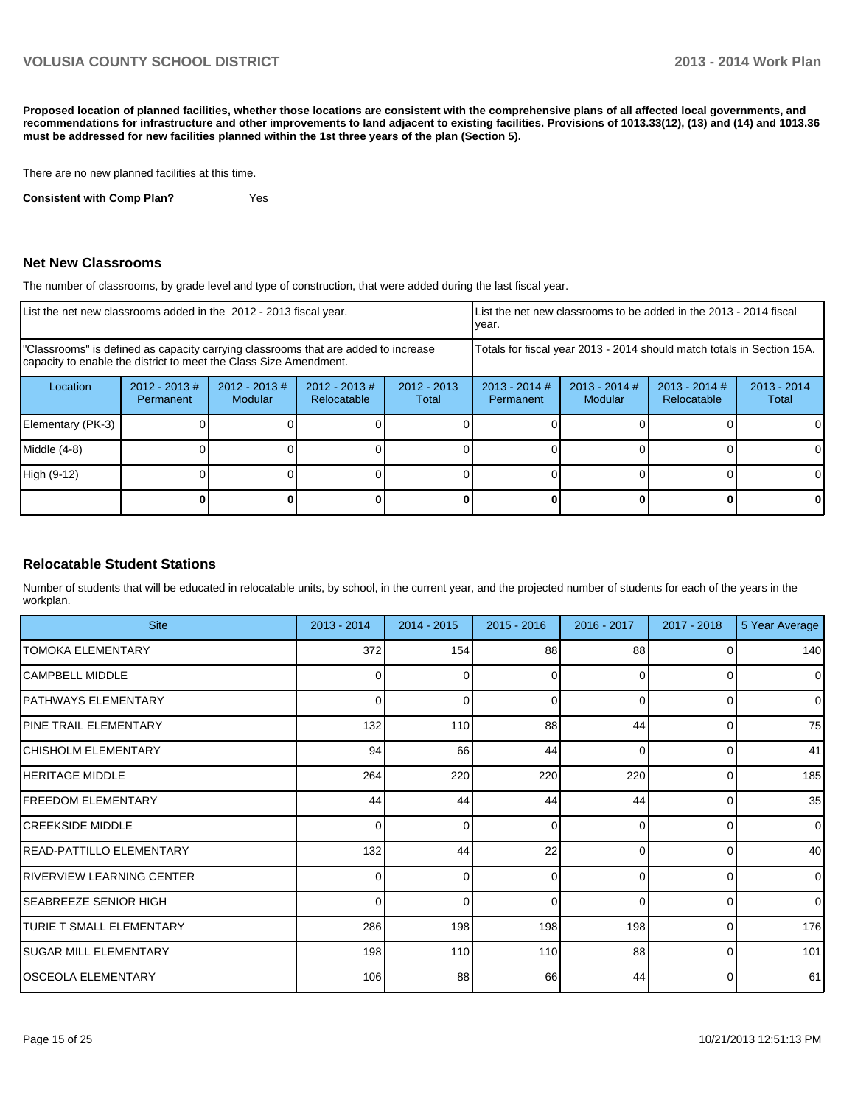**Proposed location of planned facilities, whether those locations are consistent with the comprehensive plans of all affected local governments, and recommendations for infrastructure and other improvements to land adjacent to existing facilities. Provisions of 1013.33(12), (13) and (14) and 1013.36 must be addressed for new facilities planned within the 1st three years of the plan (Section 5).**

There are no new planned facilities at this time.

**Consistent with Comp Plan?** Yes

#### **Net New Classrooms**

The number of classrooms, by grade level and type of construction, that were added during the last fiscal year.

| List the net new classrooms added in the 2012 - 2013 fiscal year.                                                                                       |                               |                                   | Ivear.                                                                 | List the net new classrooms to be added in the 2013 - 2014 fiscal |                              |                            |                                |                        |
|---------------------------------------------------------------------------------------------------------------------------------------------------------|-------------------------------|-----------------------------------|------------------------------------------------------------------------|-------------------------------------------------------------------|------------------------------|----------------------------|--------------------------------|------------------------|
| "Classrooms" is defined as capacity carrying classrooms that are added to increase<br>capacity to enable the district to meet the Class Size Amendment. |                               |                                   | Totals for fiscal year 2013 - 2014 should match totals in Section 15A. |                                                                   |                              |                            |                                |                        |
| Location                                                                                                                                                | $2012 - 2013 \#$<br>Permanent | $2012 - 2013$ #<br><b>Modular</b> | $2012 - 2013$ #<br>Relocatable                                         | $2012 - 2013$<br>Total                                            | $2013 - 2014$ #<br>Permanent | $2013 - 2014$ #<br>Modular | $2013 - 2014$ #<br>Relocatable | $2013 - 2014$<br>Total |
| Elementary (PK-3)                                                                                                                                       |                               |                                   |                                                                        |                                                                   |                              |                            |                                |                        |
| $Middle (4-8)$                                                                                                                                          |                               |                                   |                                                                        |                                                                   |                              |                            |                                |                        |
| High (9-12)                                                                                                                                             |                               |                                   |                                                                        |                                                                   |                              |                            |                                |                        |
|                                                                                                                                                         |                               |                                   |                                                                        |                                                                   |                              |                            |                                |                        |

#### **Relocatable Student Stations**

Number of students that will be educated in relocatable units, by school, in the current year, and the projected number of students for each of the years in the workplan.

| <b>Site</b>                      | $2013 - 2014$ | $2014 - 2015$ | $2015 - 2016$ | 2016 - 2017    | 2017 - 2018 | 5 Year Average |
|----------------------------------|---------------|---------------|---------------|----------------|-------------|----------------|
| TOMOKA ELEMENTARY                | 372           | 154           | 88            | 88             |             | 140            |
| <b>CAMPBELL MIDDLE</b>           | 01            | 0             | 0             | $\Omega$       | 0           | $\overline{0}$ |
| PATHWAYS ELEMENTARY              | ΩI            | n             | U             | $\Omega$       | ŋ           | $\overline{0}$ |
| <b>PINE TRAIL ELEMENTARY</b>     | 132           | 110           | 88            | 44             | 0           | 75             |
| <b>CHISHOLM ELEMENTARY</b>       | 94            | 66            | 44            | $\Omega$       | 0           | 41             |
| <b>HERITAGE MIDDLE</b>           | 264           | 220           | 220           | 220            | 0           | 185            |
| <b>FREEDOM ELEMENTARY</b>        | 44            | 44            | 44            | 44             | O           | 35             |
| <b>CREEKSIDE MIDDLE</b>          | 0             | 0             | $\Omega$      | $\Omega$       | 0           | $\overline{0}$ |
| READ-PATTILLO ELEMENTARY         | 132           | 44            | 22            | $\Omega$       | O           | 40             |
| <b>RIVERVIEW LEARNING CENTER</b> | 0             | 0             | $\Omega$      | $\overline{0}$ | 0           | $\overline{0}$ |
| <b>SEABREEZE SENIOR HIGH</b>     | ΩI            | U             | $\Omega$      | $\Omega$       | $\Omega$    | $\overline{0}$ |
| <b>TURIE T SMALL ELEMENTARY</b>  | 286           | 198           | 198           | 198            | 0           | 176            |
| <b>SUGAR MILL ELEMENTARY</b>     | 198           | 110           | 110           | 88             | 0           | 101            |
| OSCEOLA ELEMENTARY               | 106           | 88            | 66            | 44             | 0           | 61             |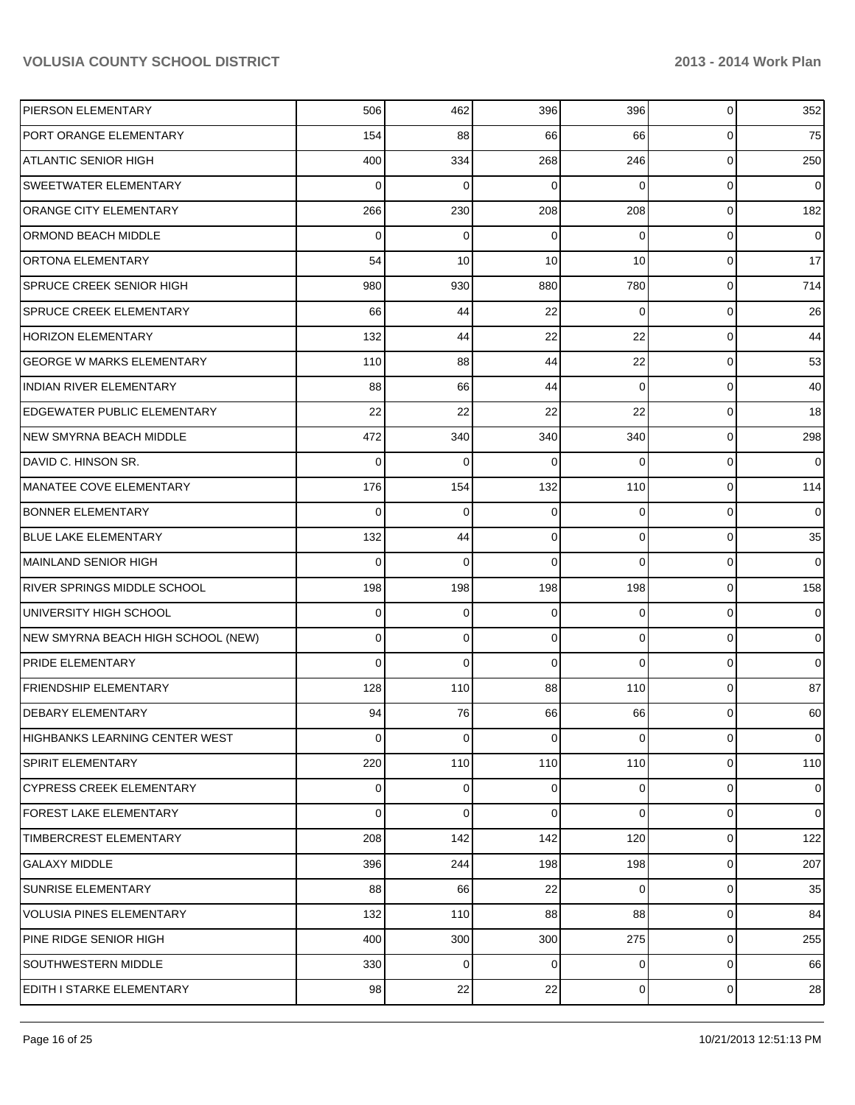| PIERSON ELEMENTARY                    | 506            | 462         | 396         | 396            | $\mathbf{0}$   | 352            |
|---------------------------------------|----------------|-------------|-------------|----------------|----------------|----------------|
| PORT ORANGE ELEMENTARY                | 154            | 88          | 66          | 66             | $\mathbf{0}$   | 75             |
| <b>ATLANTIC SENIOR HIGH</b>           | 400            | 334         | 268         | 246            | $\mathbf{0}$   | 250            |
| SWEETWATER ELEMENTARY                 | 0              | $\mathbf 0$ | 0           | $\Omega$       | $\mathbf{0}$   | $\overline{0}$ |
| ORANGE CITY ELEMENTARY                | 266            | 230         | 208         | 208            | $\mathbf{0}$   | 182            |
| ORMOND BEACH MIDDLE                   | 0              | 0           | 0           | 0              | $\mathbf{0}$   | $\overline{0}$ |
| ORTONA ELEMENTARY                     | 54             | 10          | 10          | 10             | $\mathbf{0}$   | 17             |
| SPRUCE CREEK SENIOR HIGH              | 980            | 930         | 880         | 780            | $\overline{0}$ | 714            |
| <b>SPRUCE CREEK ELEMENTARY</b>        | 66             | 44          | 22          | $\Omega$       | $\overline{0}$ | 26             |
| <b>HORIZON ELEMENTARY</b>             | 132            | 44          | 22          | 22             | $\overline{0}$ | 44             |
| <b>GEORGE W MARKS ELEMENTARY</b>      | 110            | 88          | 44          | 22             | $\overline{0}$ | 53             |
| <b>INDIAN RIVER ELEMENTARY</b>        | 88             | 66          | 44          | 0              | $\overline{0}$ | 40             |
| <b>EDGEWATER PUBLIC ELEMENTARY</b>    | 22             | 22          | 22          | 22             | $\overline{0}$ | 18             |
| <b>NEW SMYRNA BEACH MIDDLE</b>        | 472            | 340         | 340         | 340            | $\overline{0}$ | 298            |
| DAVID C. HINSON SR.                   | 0              | 0           | 0           | $\Omega$       | $\overline{0}$ | 0              |
| <b>MANATEE COVE ELEMENTARY</b>        | 176            | 154         | 132         | 110            | $\overline{0}$ | 114            |
| <b>BONNER ELEMENTARY</b>              | 0              | 0           | 0           | 0              | $\overline{0}$ | $\overline{0}$ |
| <b>BLUE LAKE ELEMENTARY</b>           | 132            | 44          | 0           | $\overline{0}$ | $\overline{0}$ | 35             |
| MAINLAND SENIOR HIGH                  | 0              | $\mathbf 0$ | 0           | $\Omega$       | $\mathbf 0$    | $\overline{0}$ |
| <b>RIVER SPRINGS MIDDLE SCHOOL</b>    | 198            | 198         | 198         | 198            | $\overline{0}$ | 158            |
| UNIVERSITY HIGH SCHOOL                | 0              | 0           | 0           | $\Omega$       | $\mathbf 0$    | $\overline{0}$ |
| NEW SMYRNA BEACH HIGH SCHOOL (NEW)    | 0              | $\mathbf 0$ | 0           | $\overline{0}$ | $\overline{0}$ | $\overline{0}$ |
| <b>PRIDE ELEMENTARY</b>               | 0              | $\mathbf 0$ | 0           | $\Omega$       | $\mathbf 0$    | $\overline{0}$ |
| <b>FRIENDSHIP ELEMENTARY</b>          | 128            | 110         | 88          | 110            | $\overline{0}$ | 87             |
| <b>DEBARY ELEMENTARY</b>              | 94             | 76          | 66          | 66             | $\mathbf 0$    | 60             |
| <b>HIGHBANKS LEARNING CENTER WEST</b> | $\overline{0}$ | $\mathbf 0$ | $\mathbf 0$ | $\overline{0}$ | $\mathbf 0$    | $\overline{0}$ |
| SPIRIT ELEMENTARY                     | 220            | 110         | 110         | 110            | $\mathbf 0$    | 110            |
| <b>CYPRESS CREEK ELEMENTARY</b>       | 0              | 0           | 0           | $\overline{0}$ | $\mathbf{0}$   | $\overline{0}$ |
| <b>FOREST LAKE ELEMENTARY</b>         | $\Omega$       | $\mathbf 0$ | 0           | $\overline{0}$ | $\overline{0}$ | $\overline{0}$ |
| TIMBERCREST ELEMENTARY                | 208            | 142         | 142         | 120            | $\overline{0}$ | 122            |
| <b>GALAXY MIDDLE</b>                  | 396            | 244         | 198         | 198            | $\overline{0}$ | 207            |
| SUNRISE ELEMENTARY                    | 88             | 66          | 22          | $\Omega$       | $\mathbf 0$    | 35             |
| <b>VOLUSIA PINES ELEMENTARY</b>       | 132            | 110         | 88          | 88             | $\overline{0}$ | 84             |
| PINE RIDGE SENIOR HIGH                | 400            | 300         | 300         | 275            | 0              | 255            |
| SOUTHWESTERN MIDDLE                   | 330            | 0           | $\mathbf 0$ | $\overline{0}$ | $\overline{0}$ | 66             |
| EDITH I STARKE ELEMENTARY             | 98             | 22          | 22          | $\overline{0}$ | $\mathbf 0$    | 28             |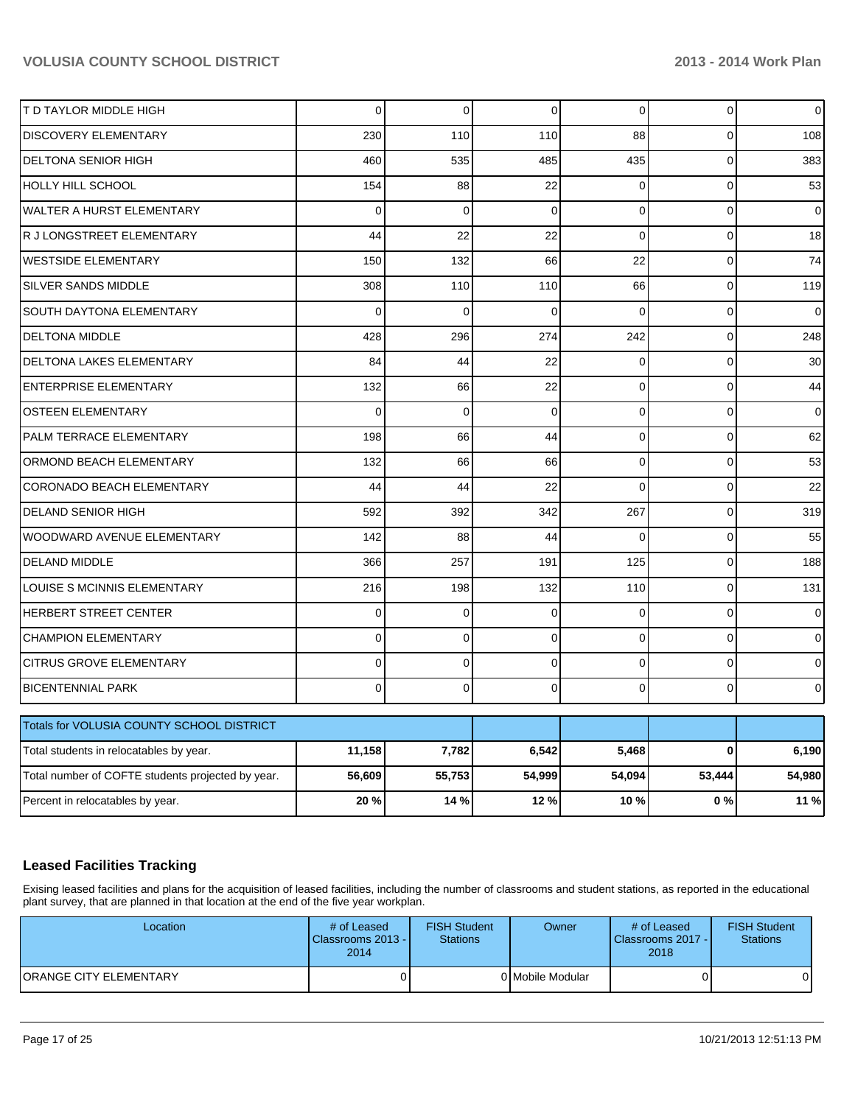| T D TAYLOR MIDDLE HIGH                            | 0        | $\mathbf 0$ | 0           | $\overline{0}$ | $\mathbf 0$  | $\mathbf 0$    |
|---------------------------------------------------|----------|-------------|-------------|----------------|--------------|----------------|
| DISCOVERY ELEMENTARY                              | 230      | 110         | 110         | 88             | $\mathbf 0$  | 108            |
| <b>DELTONA SENIOR HIGH</b>                        | 460      | 535         | 485         | 435            | $\mathbf 0$  | 383            |
| HOLLY HILL SCHOOL                                 | 154      | 88          | 22          | $\mathbf 0$    | $\mathbf 0$  | 53             |
| WALTER A HURST ELEMENTARY                         | 0        | 0           | $\mathbf 0$ | 0              | $\pmb{0}$    | 0              |
| R J LONGSTREET ELEMENTARY                         | 44       | 22          | 22          | $\overline{0}$ | $\mathbf{0}$ | 18             |
| <b>WESTSIDE ELEMENTARY</b>                        | 150      | 132         | 66          | 22             | $\pmb{0}$    | 74             |
| <b>SILVER SANDS MIDDLE</b>                        | 308      | 110         | 110         | 66             | $\mathbf 0$  | 119            |
| SOUTH DAYTONA ELEMENTARY                          | 0        | $\mathbf 0$ | 0           | $\Omega$       | $\pmb{0}$    | $\mathbf 0$    |
| <b>DELTONA MIDDLE</b>                             | 428      | 296         | 274         | 242            | $\Omega$     | 248            |
| DELTONA LAKES ELEMENTARY                          | 84       | 44          | 22          | $\Omega$       | $\mathbf 0$  | 30             |
| <b>ENTERPRISE ELEMENTARY</b>                      | 132      | 66          | 22          | $\Omega$       | $\Omega$     | 44             |
| <b>OSTEEN ELEMENTARY</b>                          | $\Omega$ | $\mathbf 0$ | $\mathbf 0$ | 0              | $\mathbf 0$  | $\pmb{0}$      |
| PALM TERRACE ELEMENTARY                           | 198      | 66          | 44          | $\Omega$       | $\Omega$     | 62             |
| ORMOND BEACH ELEMENTARY                           | 132      | 66          | 66          | $\overline{0}$ | $\mathbf 0$  | 53             |
| CORONADO BEACH ELEMENTARY                         | 44       | 44          | 22          | $\Omega$       | $\Omega$     | 22             |
| <b>DELAND SENIOR HIGH</b>                         | 592      | 392         | 342         | 267            | $\mathbf 0$  | 319            |
| WOODWARD AVENUE ELEMENTARY                        | 142      | 88          | 44          | $\Omega$       | $\mathbf 0$  | 55             |
| <b>DELAND MIDDLE</b>                              | 366      | 257         | 191         | 125            | $\mathbf 0$  | 188            |
| LOUISE S MCINNIS ELEMENTARY                       | 216      | 198         | 132         | 110            | $\Omega$     | 131            |
| HERBERT STREET CENTER                             | 0        | $\mathbf 0$ | $\mathbf 0$ | $\mathbf 0$    | $\mathbf 0$  | 0              |
| <b>CHAMPION ELEMENTARY</b>                        | $\Omega$ | $\mathbf 0$ | 0           | $\Omega$       | $\Omega$     | $\overline{0}$ |
| <b>CITRUS GROVE ELEMENTARY</b>                    | 0        | $\mathbf 0$ | $\mathbf 0$ | $\overline{0}$ | $\mathbf 0$  | $\mathbf 0$    |
| <b>BICENTENNIAL PARK</b>                          | 0        | $\mathbf 0$ | 0           | $\Omega$       | $\mathbf 0$  | $\mathbf 0$    |
| Totals for VOLUSIA COUNTY SCHOOL DISTRICT         |          |             |             |                |              |                |
| Total students in relocatables by year.           | 11,158   | 7,782       | 6,542       | 5,468          | $\bf{0}$     | 6,190          |
| Total number of COFTE students projected by year. | 56,609   | 55,753      | 54,999      | 54,094         | 53,444       | 54,980         |
| Percent in relocatables by year.                  | 20%      | 14 %        | 12%         | 10%            | 0%           | 11 %           |

## **Leased Facilities Tracking**

Exising leased facilities and plans for the acquisition of leased facilities, including the number of classrooms and student stations, as reported in the educational plant survey, that are planned in that location at the end of the five year workplan.

| Location                      | # of Leased<br>Classrooms 2013 - I<br>2014 | <b>FISH Student</b><br><b>Stations</b> | Owner            | # of Leased<br>Classrooms 2017 - I<br>2018 | <b>FISH Student</b><br><b>Stations</b> |
|-------------------------------|--------------------------------------------|----------------------------------------|------------------|--------------------------------------------|----------------------------------------|
| <b>ORANGE CITY ELEMENTARY</b> |                                            |                                        | 0 Mobile Modular |                                            |                                        |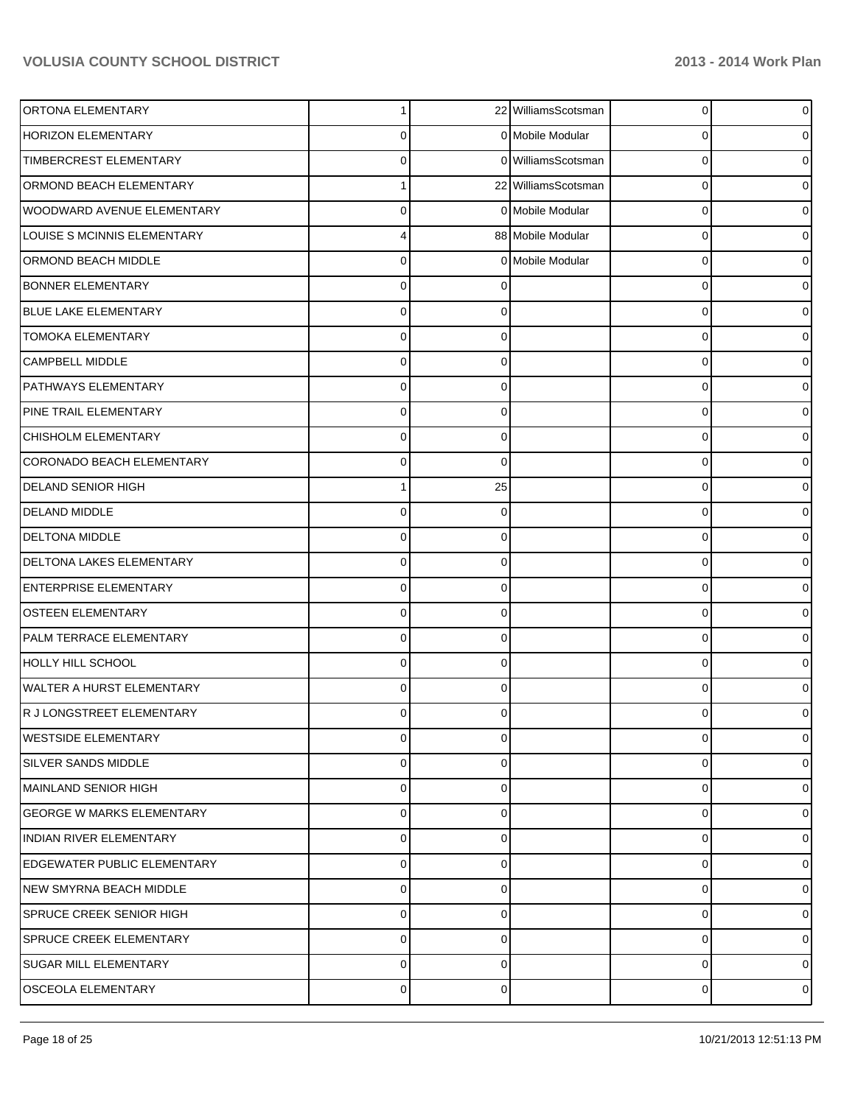| ORTONA ELEMENTARY                  | 1              |             | 22 WilliamsScotsman | $\overline{0}$ | $\overline{0}$ |
|------------------------------------|----------------|-------------|---------------------|----------------|----------------|
| <b>HORIZON ELEMENTARY</b>          | 0              |             | 0 Mobile Modular    | 0              | 01             |
| TIMBERCREST ELEMENTARY             | $\Omega$       |             | 0 WilliamsScotsman  | 0              | 0              |
| ORMOND BEACH ELEMENTARY            |                |             | 22 WilliamsScotsman | 0              | 01             |
| WOODWARD AVENUE ELEMENTARY         | $\Omega$       |             | 0 Mobile Modular    | 0              | 0              |
| LOUISE S MCINNIS ELEMENTARY        | 4              |             | 88 Mobile Modular   | 0              | 0              |
| ORMOND BEACH MIDDLE                | $\Omega$       |             | 0 Mobile Modular    | 0              | 0              |
| <b>BONNER ELEMENTARY</b>           | $\Omega$       |             |                     | 0              | 0              |
| <b>BLUE LAKE ELEMENTARY</b>        | $\Omega$       |             |                     | 0              | 0              |
| <b>TOMOKA ELEMENTARY</b>           | $\Omega$       | $\Omega$    |                     | 0              | 0              |
| CAMPBELL MIDDLE                    | $\Omega$       | $\Omega$    |                     | 0              | 0              |
| <b>PATHWAYS ELEMENTARY</b>         | $\Omega$       | $\Omega$    |                     | 0              | 0              |
| PINE TRAIL ELEMENTARY              | $\Omega$       | $\Omega$    |                     | 0              | 0              |
| CHISHOLM ELEMENTARY                | $\Omega$       | $\Omega$    |                     | 0              | 0              |
| <b>CORONADO BEACH ELEMENTARY</b>   | 0              | $\Omega$    |                     | 0              | 0              |
| <b>DELAND SENIOR HIGH</b>          |                | 25          |                     | 0              | 0              |
| <b>DELAND MIDDLE</b>               | $\Omega$       | ∩           |                     | 0              | 0              |
| <b>DELTONA MIDDLE</b>              | $\Omega$       | $\Omega$    |                     | 0              | 0              |
| DELTONA LAKES ELEMENTARY           | $\Omega$       | 0           |                     | 0              | 0              |
| <b>ENTERPRISE ELEMENTARY</b>       | $\Omega$       | $\Omega$    |                     | 0              | 0              |
| OSTEEN ELEMENTARY                  | 0              | $\Omega$    |                     | 0              | 0              |
| PALM TERRACE ELEMENTARY            | $\Omega$       | $\Omega$    |                     | 0              | 0              |
| HOLLY HILL SCHOOL                  | $\Omega$       | 0           |                     | 0              | 0              |
| <b>WALTER A HURST ELEMENTARY</b>   | $\Omega$       | $\Omega$    |                     | $\Omega$       | 0              |
| R J LONGSTREET ELEMENTARY          | 0              |             |                     | 0              | 0              |
| <b>WESTSIDE ELEMENTARY</b>         | $\mathbf 0$    | $\mathbf 0$ |                     | 0              | $\overline{0}$ |
| <b>SILVER SANDS MIDDLE</b>         | 0              | $\Omega$    |                     | 0              | $\overline{0}$ |
| MAINLAND SENIOR HIGH               | 0              | $\Omega$    |                     | 0              | $\overline{0}$ |
| <b>GEORGE W MARKS ELEMENTARY</b>   | 0              | $\Omega$    |                     | 0              | $\overline{0}$ |
| <b>INDIAN RIVER ELEMENTARY</b>     | 0              | $\Omega$    |                     | 0              | $\overline{0}$ |
| <b>EDGEWATER PUBLIC ELEMENTARY</b> | 0              | $\Omega$    |                     | 0              | $\overline{0}$ |
| NEW SMYRNA BEACH MIDDLE            | 0              | $\Omega$    |                     | 0              | $\overline{0}$ |
| <b>SPRUCE CREEK SENIOR HIGH</b>    | 0              | $\Omega$    |                     | 0              | $\overline{0}$ |
| <b>SPRUCE CREEK ELEMENTARY</b>     | 0              | 0           |                     | 0              | $\overline{0}$ |
| <b>SUGAR MILL ELEMENTARY</b>       | 0              | $\Omega$    |                     | 0              | $\overline{0}$ |
| <b>OSCEOLA ELEMENTARY</b>          | $\overline{0}$ | $\mathbf 0$ |                     | 0              | $\circ$        |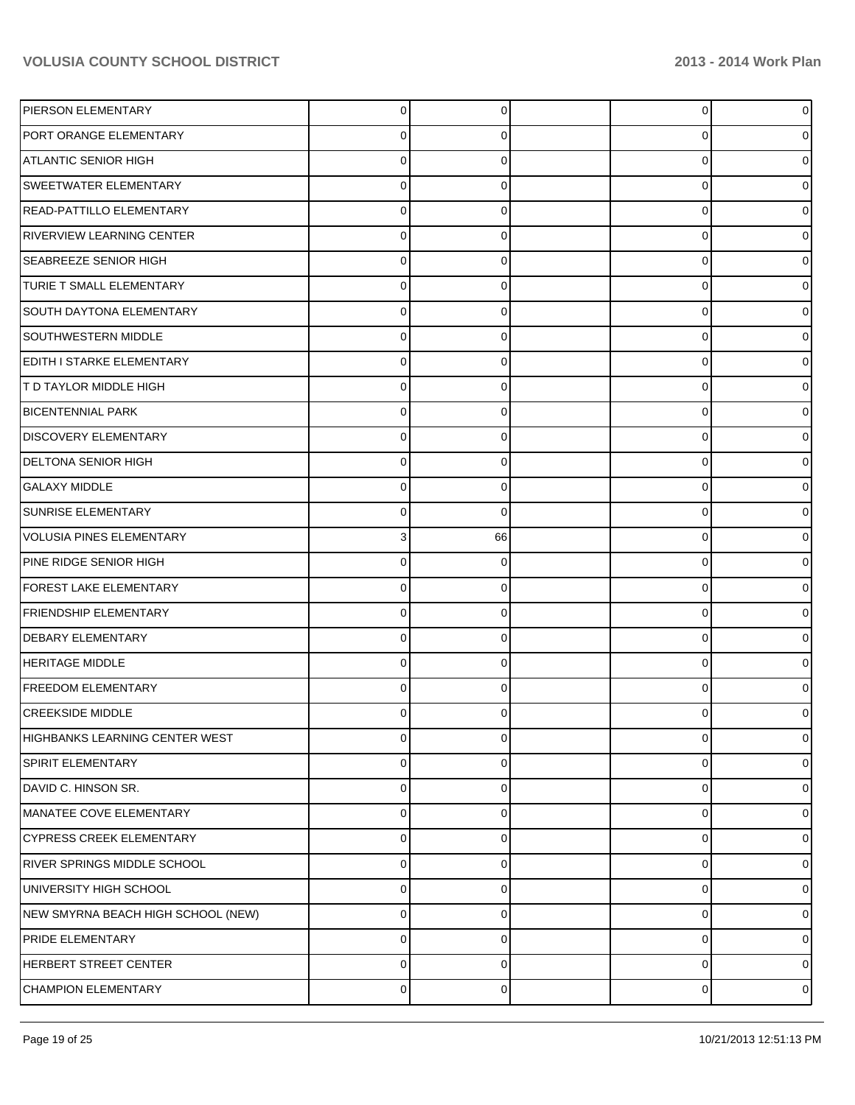| PIERSON ELEMENTARY                 | $\overline{0}$ | 0  | $\overline{0}$ | $\overline{0}$ |
|------------------------------------|----------------|----|----------------|----------------|
| PORT ORANGE ELEMENTARY             | 0              | 0  | 0              | 0              |
| <b>ATLANTIC SENIOR HIGH</b>        | $\Omega$       | 0  | 0              | 0              |
| <b>SWEETWATER ELEMENTARY</b>       | $\Omega$       | 0  | 0              | 0              |
| READ-PATTILLO ELEMENTARY           | $\Omega$       | 0  | 0              | 0              |
| <b>RIVERVIEW LEARNING CENTER</b>   | $\Omega$       | 0  | 0              | 0              |
| <b>SEABREEZE SENIOR HIGH</b>       | $\Omega$       | 0  | 0              | 0              |
| TURIE T SMALL ELEMENTARY           | $\Omega$       | 0  | 0              | 0              |
| <b>SOUTH DAYTONA ELEMENTARY</b>    | $\Omega$       | 0  | 0              | 0              |
| <b>SOUTHWESTERN MIDDLE</b>         | $\Omega$       | 0  | 0              | 0              |
| EDITH I STARKE ELEMENTARY          | $\Omega$       | 0  | 0              | 0              |
| <b>T D TAYLOR MIDDLE HIGH</b>      | $\Omega$       | 0  | 0              | 0              |
| <b>BICENTENNIAL PARK</b>           | $\Omega$       | 0  | 0              | 0              |
| <b>DISCOVERY ELEMENTARY</b>        | $\Omega$       | 0  | 0              | 0              |
| <b>DELTONA SENIOR HIGH</b>         | $\Omega$       | 0  | 0              | 0              |
| <b>GALAXY MIDDLE</b>               | $\Omega$       | 0  | 0              | 0              |
| SUNRISE ELEMENTARY                 | $\Omega$       | 0  | 0              | 0              |
| VOLUSIA PINES ELEMENTARY           | 3              | 66 | 0              | 0              |
| PINE RIDGE SENIOR HIGH             | $\Omega$       | 0  | 0              | 0              |
| FOREST LAKE ELEMENTARY             | $\Omega$       | 0  | 0              | 0              |
| <b>FRIENDSHIP ELEMENTARY</b>       | $\Omega$       | 0  | 0              | 0              |
| <b>DEBARY ELEMENTARY</b>           | $\Omega$       | 0  | 0              | 0              |
| <b>HERITAGE MIDDLE</b>             | $\Omega$       | 0  | 0              | 0              |
| <b>FREEDOM ELEMENTARY</b>          | $\Omega$       | 0  | 0              | 0              |
| <b>CREEKSIDE MIDDLE</b>            | 0              |    | U              | 0              |
| HIGHBANKS LEARNING CENTER WEST     | $\pmb{0}$      | 0  | 0              | $\overline{0}$ |
| <b>SPIRIT ELEMENTARY</b>           | $\mathbf 0$    | 0  | 0              | $\overline{0}$ |
| DAVID C. HINSON SR.                | $\mathbf 0$    | 0  | 0              | $\overline{0}$ |
| MANATEE COVE ELEMENTARY            | $\mathbf 0$    | 0  | 0              | $\overline{0}$ |
| <b>CYPRESS CREEK ELEMENTARY</b>    | $\mathbf 0$    | 0  | 0              | $\overline{0}$ |
| <b>RIVER SPRINGS MIDDLE SCHOOL</b> | $\mathbf 0$    | 0  | 0              | $\overline{0}$ |
| UNIVERSITY HIGH SCHOOL             | $\mathbf 0$    | 0  | 0              | 0              |
| NEW SMYRNA BEACH HIGH SCHOOL (NEW) | $\mathbf 0$    | 0  | 0              | $\overline{0}$ |
| <b>PRIDE ELEMENTARY</b>            | 0              | 0  | 0              | $\overline{0}$ |
| HERBERT STREET CENTER              | $\mathbf 0$    | 0  | 0              | $\overline{0}$ |
| <b>CHAMPION ELEMENTARY</b>         | 0              | 0  | 0              | $\circ$        |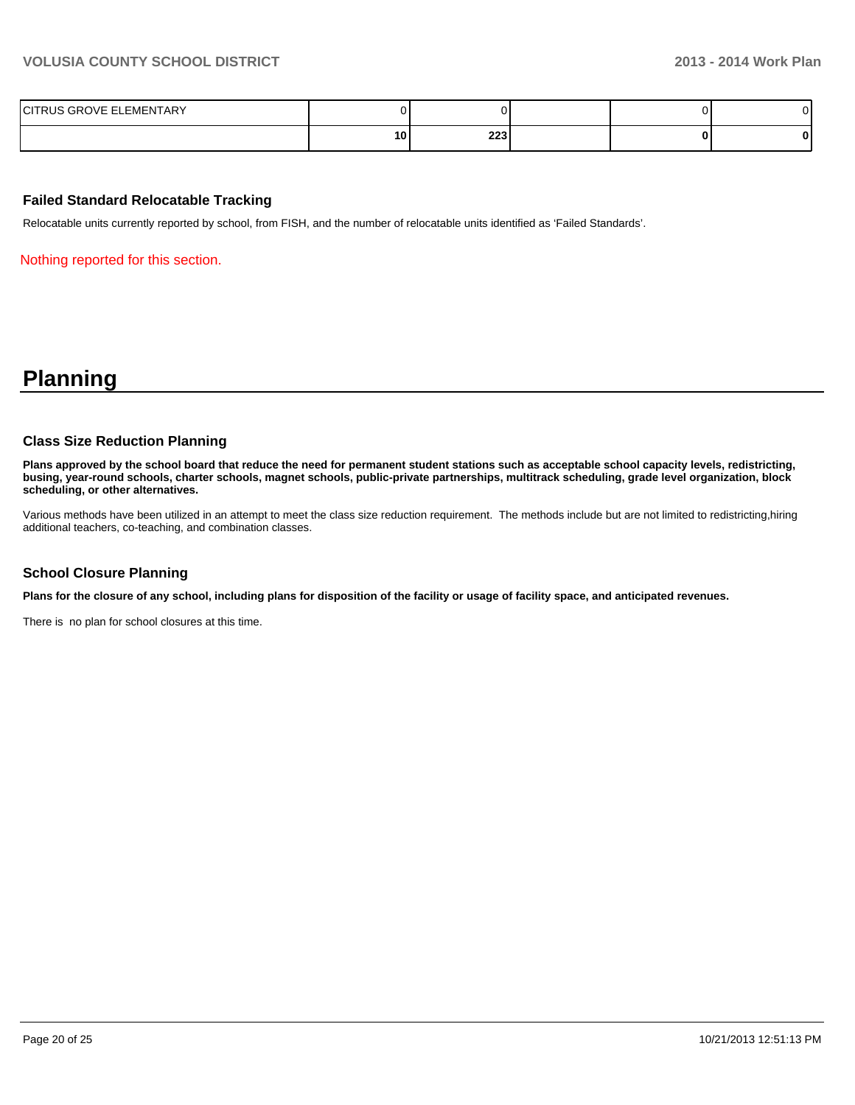| ELEMENTARY<br>$\overline{\phantom{0}}$<br>$\sim$<br>117∟ |    |                                             |  |  |
|----------------------------------------------------------|----|---------------------------------------------|--|--|
|                                                          | 10 | י כרב<br>223<br>and the control of the con- |  |  |

#### **Failed Standard Relocatable Tracking**

Relocatable units currently reported by school, from FISH, and the number of relocatable units identified as 'Failed Standards'.

Nothing reported for this section.

## **Planning**

#### **Class Size Reduction Planning**

**Plans approved by the school board that reduce the need for permanent student stations such as acceptable school capacity levels, redistricting, busing, year-round schools, charter schools, magnet schools, public-private partnerships, multitrack scheduling, grade level organization, block scheduling, or other alternatives.**

Various methods have been utilized in an attempt to meet the class size reduction requirement. The methods include but are not limited to redistricting,hiring additional teachers, co-teaching, and combination classes.

#### **School Closure Planning**

**Plans for the closure of any school, including plans for disposition of the facility or usage of facility space, and anticipated revenues.**

There is no plan for school closures at this time.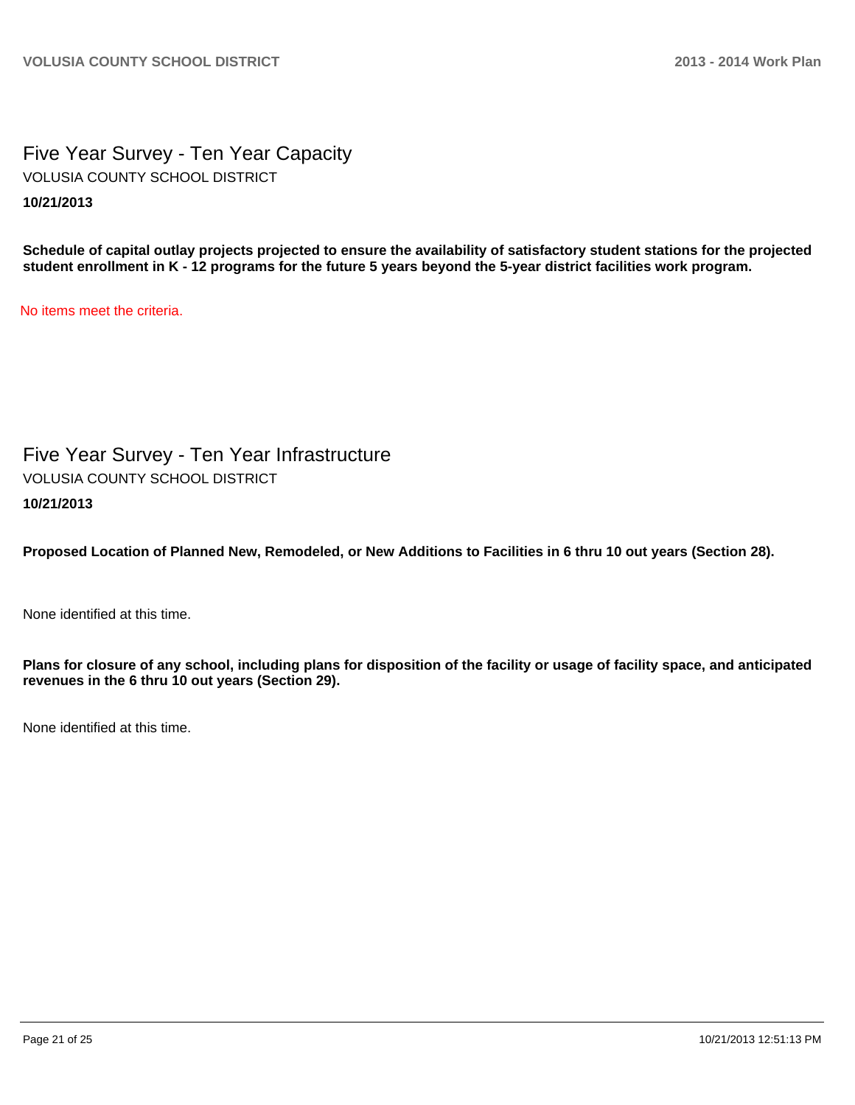Five Year Survey - Ten Year Capacity **10/21/2013** VOLUSIA COUNTY SCHOOL DISTRICT

**Schedule of capital outlay projects projected to ensure the availability of satisfactory student stations for the projected student enrollment in K - 12 programs for the future 5 years beyond the 5-year district facilities work program.**

No items meet the criteria.

Five Year Survey - Ten Year Infrastructure **10/21/2013** VOLUSIA COUNTY SCHOOL DISTRICT

**Proposed Location of Planned New, Remodeled, or New Additions to Facilities in 6 thru 10 out years (Section 28).**

None identified at this time.

**Plans for closure of any school, including plans for disposition of the facility or usage of facility space, and anticipated revenues in the 6 thru 10 out years (Section 29).**

None identified at this time.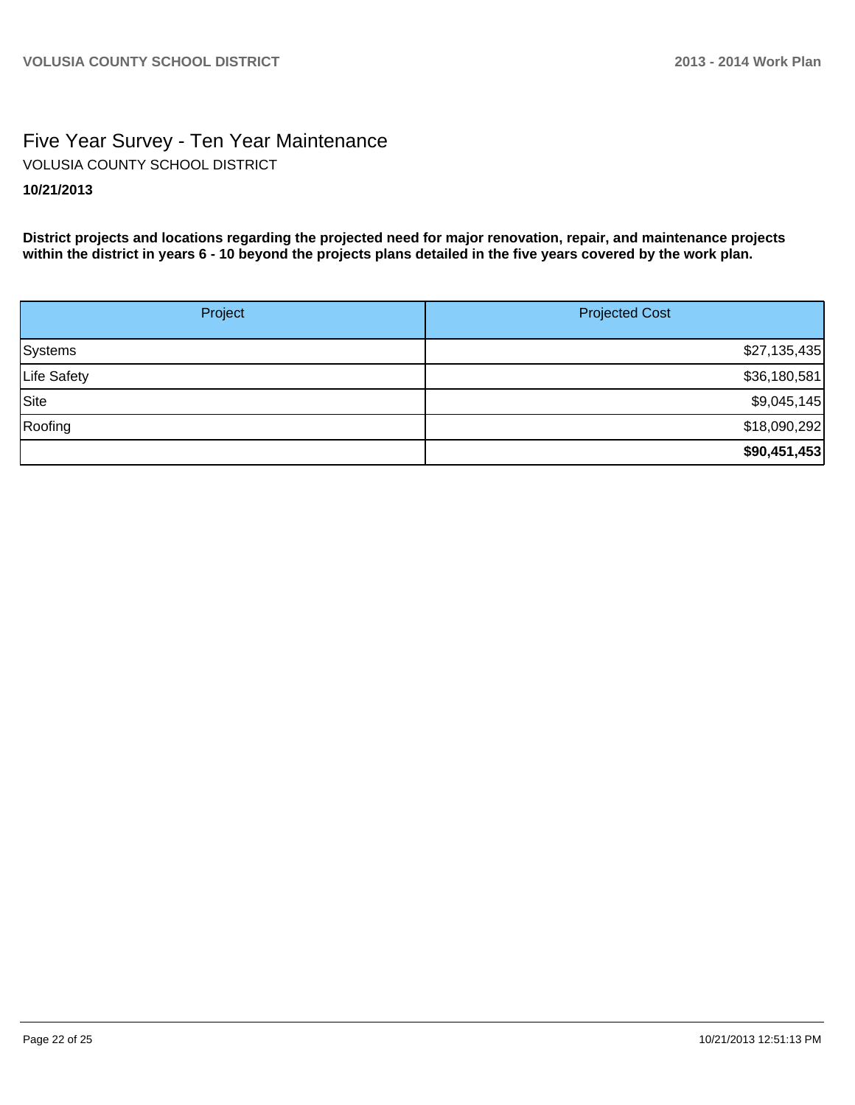## Five Year Survey - Ten Year Maintenance **10/21/2013** VOLUSIA COUNTY SCHOOL DISTRICT

**District projects and locations regarding the projected need for major renovation, repair, and maintenance projects within the district in years 6 - 10 beyond the projects plans detailed in the five years covered by the work plan.**

| Project     | <b>Projected Cost</b> |
|-------------|-----------------------|
| Systems     | \$27,135,435          |
| Life Safety | \$36,180,581          |
| Site        | \$9,045,145           |
| Roofing     | \$18,090,292          |
|             | \$90,451,453          |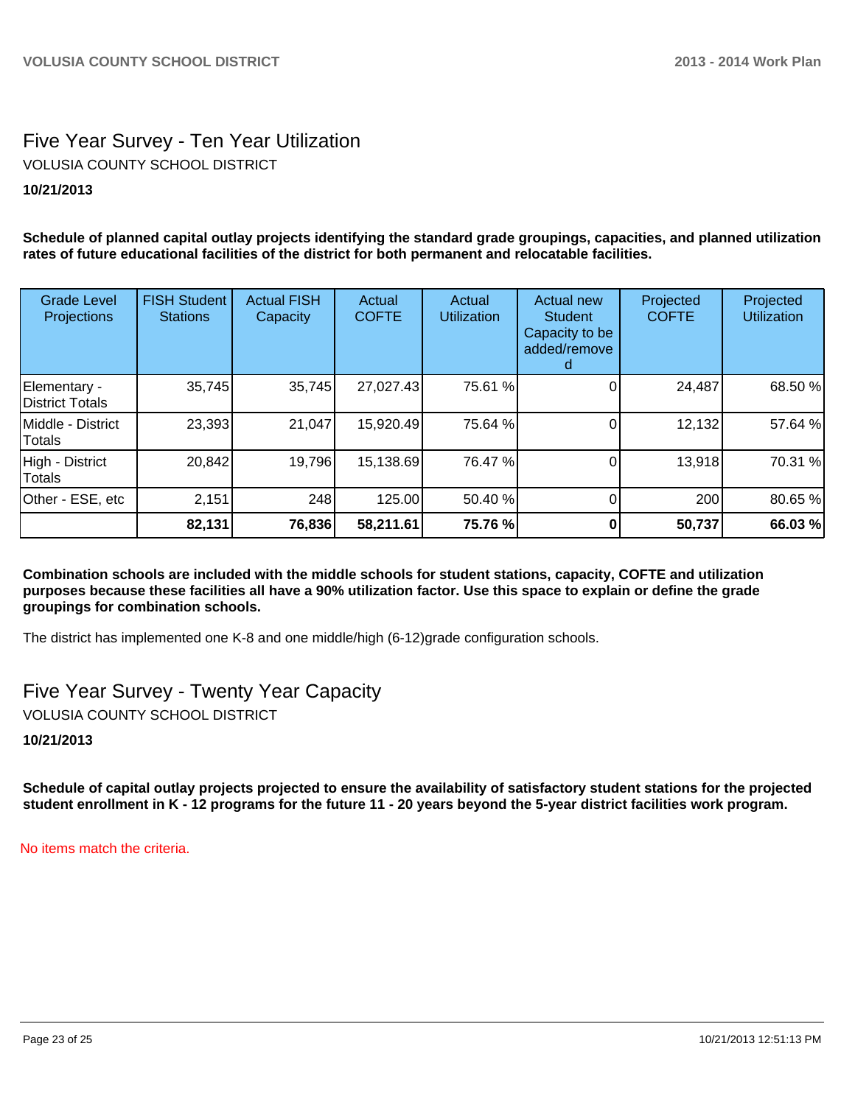## Five Year Survey - Ten Year Utilization VOLUSIA COUNTY SCHOOL DISTRICT

## **10/21/2013**

**Schedule of planned capital outlay projects identifying the standard grade groupings, capacities, and planned utilization rates of future educational facilities of the district for both permanent and relocatable facilities.**

| <b>Grade Level</b><br>Projections | <b>FISH Student</b><br><b>Stations</b> | <b>Actual FISH</b><br>Capacity | Actual<br><b>COFTE</b> | Actual<br><b>Utilization</b> | Actual new<br><b>Student</b><br>Capacity to be<br>added/remove | Projected<br><b>COFTE</b> | Projected<br><b>Utilization</b> |
|-----------------------------------|----------------------------------------|--------------------------------|------------------------|------------------------------|----------------------------------------------------------------|---------------------------|---------------------------------|
| Elementary -<br>District Totals   | 35,745                                 | 35,745                         | 27,027.43              | 75.61 %                      |                                                                | 24,487                    | 68.50 %                         |
| Middle - District<br>Totals       | 23,393                                 | 21,047                         | 15,920.49              | 75.64 %                      |                                                                | 12,132                    | 57.64 %                         |
| High - District<br>Totals         | 20,842                                 | 19,796                         | 15,138.69              | 76.47 %                      |                                                                | 13,918                    | 70.31 %                         |
| Other - ESE, etc                  | 2,151                                  | 248                            | 125.00                 | 50.40 %                      |                                                                | 200                       | 80.65 %                         |
|                                   | 82,131                                 | 76,836                         | 58,211.61              | 75.76 %                      |                                                                | 50,737                    | 66.03 %                         |

**Combination schools are included with the middle schools for student stations, capacity, COFTE and utilization purposes because these facilities all have a 90% utilization factor. Use this space to explain or define the grade groupings for combination schools.**

The district has implemented one K-8 and one middle/high (6-12)grade configuration schools.

Five Year Survey - Twenty Year Capacity VOLUSIA COUNTY SCHOOL DISTRICT

**10/21/2013**

**Schedule of capital outlay projects projected to ensure the availability of satisfactory student stations for the projected student enrollment in K - 12 programs for the future 11 - 20 years beyond the 5-year district facilities work program.**

No items match the criteria.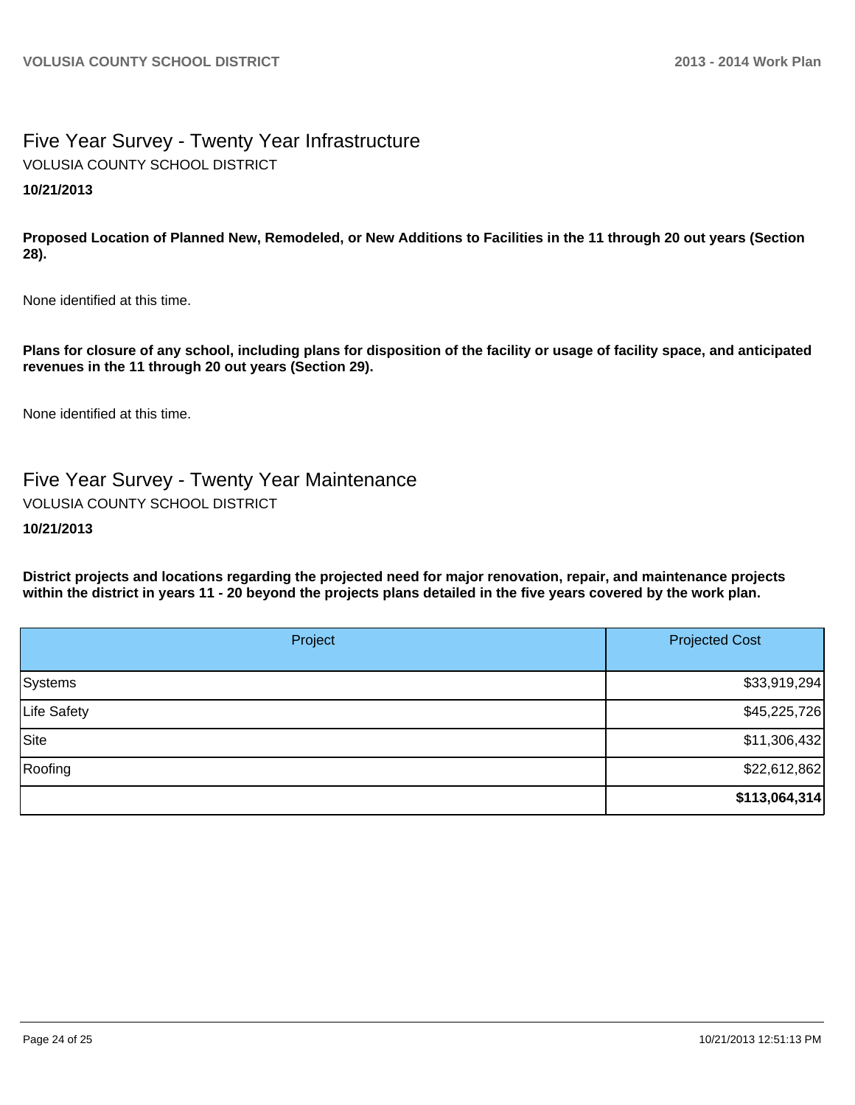## Five Year Survey - Twenty Year Infrastructure VOLUSIA COUNTY SCHOOL DISTRICT

## **10/21/2013**

**Proposed Location of Planned New, Remodeled, or New Additions to Facilities in the 11 through 20 out years (Section 28).**

None identified at this time.

**Plans for closure of any school, including plans for disposition of the facility or usage of facility space, and anticipated revenues in the 11 through 20 out years (Section 29).**

None identified at this time.

# Five Year Survey - Twenty Year Maintenance

VOLUSIA COUNTY SCHOOL DISTRICT

#### **10/21/2013**

**District projects and locations regarding the projected need for major renovation, repair, and maintenance projects within the district in years 11 - 20 beyond the projects plans detailed in the five years covered by the work plan.**

| Project     | <b>Projected Cost</b> |  |
|-------------|-----------------------|--|
| Systems     | \$33,919,294          |  |
| Life Safety | \$45,225,726          |  |
| Site        | \$11,306,432          |  |
| Roofing     | \$22,612,862          |  |
|             | \$113,064,314         |  |